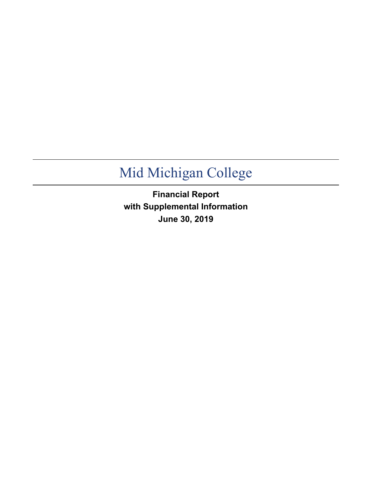**Financial Report with Supplemental Information June 30, 2019**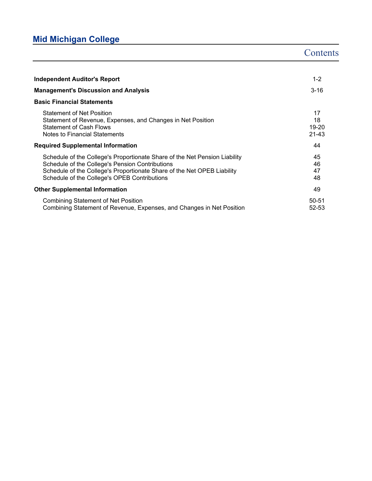## Contents

| <b>Independent Auditor's Report</b>                                                                                                                                                                                                                      | $1 - 2$                    |
|----------------------------------------------------------------------------------------------------------------------------------------------------------------------------------------------------------------------------------------------------------|----------------------------|
| <b>Management's Discussion and Analysis</b>                                                                                                                                                                                                              | $3 - 16$                   |
| <b>Basic Financial Statements</b>                                                                                                                                                                                                                        |                            |
| Statement of Net Position<br>Statement of Revenue, Expenses, and Changes in Net Position<br><b>Statement of Cash Flows</b><br>Notes to Financial Statements                                                                                              | 17<br>18<br>19-20<br>21-43 |
| <b>Required Supplemental Information</b>                                                                                                                                                                                                                 | 44                         |
| Schedule of the College's Proportionate Share of the Net Pension Liability<br>Schedule of the College's Pension Contributions<br>Schedule of the College's Proportionate Share of the Net OPEB Liability<br>Schedule of the College's OPEB Contributions | 45<br>46<br>47<br>48       |
| <b>Other Supplemental Information</b>                                                                                                                                                                                                                    | 49                         |
| Combining Statement of Net Position<br>Combining Statement of Revenue, Expenses, and Changes in Net Position                                                                                                                                             | $50 - 51$<br>52-53         |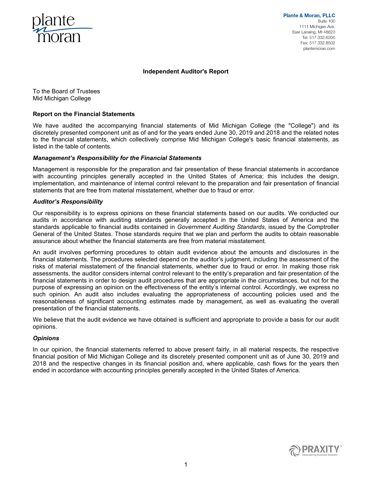

**Plante & Moran, PLLC** Suite 100 1111 Michigan Ave. East Lansing, MI 48823 Tel: 517.332.6200 Fax: 517.332.8502 plantemoran.com

#### **Independent Auditor's Report**

To the Board of Trustees Mid Michigan College

#### **Report on the Financial Statements**

We have audited the accompanying financial statements of Mid Michigan College (the "College") and its discretely presented component unit as of and for the years ended June 30, 2019 and 2018 and the related notes to the financial statements, which collectively comprise Mid Michigan College's basic financial statements, as listed in the table of contents.

#### *Management's Responsibility for the Financial Statements*

Management is responsible for the preparation and fair presentation of these financial statements in accordance with accounting principles generally accepted in the United States of America; this includes the design, implementation, and maintenance of internal control relevant to the preparation and fair presentation of financial statements that are free from material misstatement, whether due to fraud or error.

#### *Auditor's Responsibility*

Our responsibility is to express opinions on these financial statements based on our audits. We conducted our audits in accordance with auditing standards generally accepted in the United States of America and the standards applicable to financial audits contained in *Government Auditing Standards*, issued by the Comptroller General of the United States. Those standards require that we plan and perform the audits to obtain reasonable assurance about whether the financial statements are free from material misstatement.

An audit involves performing procedures to obtain audit evidence about the amounts and disclosures in the financial statements. The procedures selected depend on the auditor's judgment, including the assessment of the risks of material misstatement of the financial statements, whether due to fraud or error. In making those risk assessments, the auditor considers internal control relevant to the entity's preparation and fair presentation of the financial statements in order to design audit procedures that are appropriate in the circumstances, but not for the purpose of expressing an opinion on the effectiveness of the entity's internal control. Accordingly, we express no such opinion. An audit also includes evaluating the appropriateness of accounting policies used and the reasonableness of significant accounting estimates made by management, as well as evaluating the overall presentation of the financial statements.

We believe that the audit evidence we have obtained is sufficient and appropriate to provide a basis for our audit opinions.

#### *Opinions*

In our opinion, the financial statements referred to above present fairly, in all material respects, the respective financial position of Mid Michigan College and its discretely presented component unit as of June 30, 2019 and 2018 and the respective changes in its financial position and, where applicable, cash flows for the years then ended in accordance with accounting principles generally accepted in the United States of America.

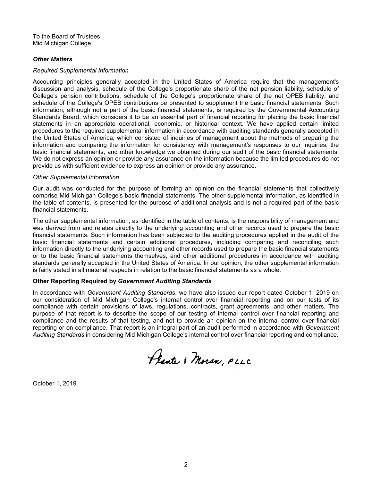To the Board of Trustees Mid Michigan College

#### *Other Matters*

#### *Required Supplemental Information*

Accounting principles generally accepted in the United States of America require that the management's discussion and analysis, schedule of the College's proportionate share of the net pension liability, schedule of College's pension contributions, schedule of the College's proportionate share of the net OPEB liability, and schedule of the College's OPEB contributions be presented to supplement the basic financial statements. Such information, although not a part of the basic financial statements, is required by the Governmental Accounting Standards Board, which considers it to be an essential part of financial reporting for placing the basic financial statements in an appropriate operational, economic, or historical context. We have applied certain limited procedures to the required supplemental information in accordance with auditing standards generally accepted in the United States of America, which consisted of inquiries of management about the methods of preparing the information and comparing the information for consistency with management's responses to our inquiries, the basic financial statements, and other knowledge we obtained during our audit of the basic financial statements. We do not express an opinion or provide any assurance on the information because the limited procedures do not provide us with sufficient evidence to express an opinion or provide any assurance.

#### *Other Supplemental Information*

Our audit was conducted for the purpose of forming an opinion on the financial statements that collectively comprise Mid Michigan College's basic financial statements. The other supplemental information, as identified in the table of contents, is presented for the purpose of additional analysis and is not a required part of the basic financial statements.

The other supplemental information, as identified in the table of contents, is the responsibility of management and was derived from and relates directly to the underlying accounting and other records used to prepare the basic financial statements. Such information has been subjected to the auditing procedures applied in the audit of the basic financial statements and certain additional procedures, including comparing and reconciling such information directly to the underlying accounting and other records used to prepare the basic financial statements or to the basic financial statements themselves, and other additional procedures in accordance with auditing standards generally accepted in the United States of America. In our opinion, the other supplemental information is fairly stated in all material respects in relation to the basic financial statements as a whole.

#### **Other Reporting Required by** *Government Auditing Standards*

In accordance with *Government Auditing Standards*, we have also issued our report dated October 1, 2019 on our consideration of Mid Michigan College's internal control over financial reporting and on our tests of its compliance with certain provisions of laws, regulations, contracts, grant agreements, and other matters. The purpose of that report is to describe the scope of our testing of internal control over financial reporting and compliance and the results of that testing, and not to provide an opinion on the internal control over financial reporting or on compliance. That report is an integral part of an audit performed in accordance with *Government Auditing Standards* in considering Mid Michigan College's internal control over financial reporting and compliance.

Plante & Moran, PLLC

October 1, 2019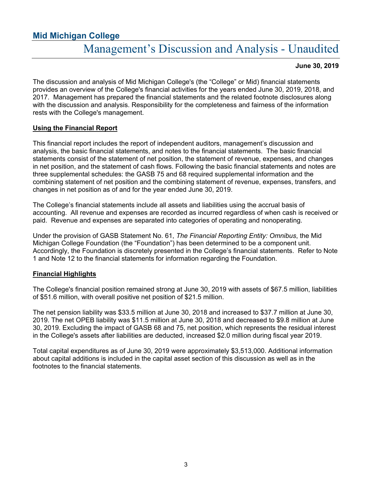## Management's Discussion and Analysis - Unaudited

#### **June 30, 2019**

The discussion and analysis of Mid Michigan College's (the "College" or Mid) financial statements provides an overview of the College's financial activities for the years ended June 30, 2019, 2018, and 2017. Management has prepared the financial statements and the related footnote disclosures along with the discussion and analysis. Responsibility for the completeness and fairness of the information rests with the College's management.

#### **Using the Financial Report**

This financial report includes the report of independent auditors, management's discussion and analysis, the basic financial statements, and notes to the financial statements. The basic financial statements consist of the statement of net position, the statement of revenue, expenses, and changes in net position, and the statement of cash flows. Following the basic financial statements and notes are three supplemental schedules: the GASB 75 and 68 required supplemental information and the combining statement of net position and the combining statement of revenue, expenses, transfers, and changes in net position as of and for the year ended June 30, 2019.

The College's financial statements include all assets and liabilities using the accrual basis of accounting. All revenue and expenses are recorded as incurred regardless of when cash is received or paid. Revenue and expenses are separated into categories of operating and nonoperating.

Under the provision of GASB Statement No. 61, *The Financial Reporting Entity: Omnibus*, the Mid Michigan College Foundation (the "Foundation") has been determined to be a component unit. Accordingly, the Foundation is discretely presented in the College's financial statements. Refer to Note 1 and Note 12 to the financial statements for information regarding the Foundation.

#### **Financial Highlights**

The College's financial position remained strong at June 30, 2019 with assets of \$67.5 million, liabilities of \$51.6 million, with overall positive net position of \$21.5 million.

The net pension liability was \$33.5 million at June 30, 2018 and increased to \$37.7 million at June 30, 2019. The net OPEB liability was \$11.5 million at June 30, 2018 and decreased to \$9.8 million at June 30, 2019. Excluding the impact of GASB 68 and 75, net position, which represents the residual interest in the College's assets after liabilities are deducted, increased \$2.0 million during fiscal year 2019.

Total capital expenditures as of June 30, 2019 were approximately \$3,513,000. Additional information about capital additions is included in the capital asset section of this discussion as well as in the footnotes to the financial statements.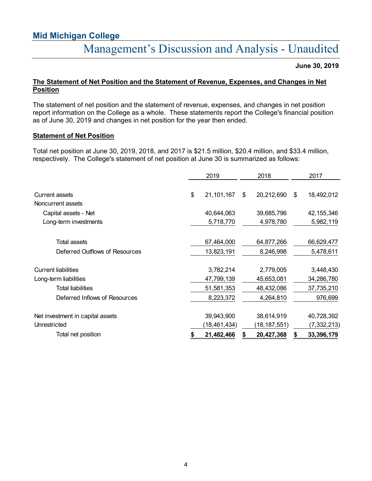## Management's Discussion and Analysis - Unaudited

#### **June 30, 2019**

#### **The Statement of Net Position and the Statement of Revenue, Expenses, and Changes in Net Position**

The statement of net position and the statement of revenue, expenses, and changes in net position report information on the College as a whole. These statements report the College's financial position as of June 30, 2019 and changes in net position for the year then ended.

#### **Statement of Net Position**

Total net position at June 30, 2019, 2018, and 2017 is \$21.5 million, \$20.4 million, and \$33.4 million, respectively. The College's statement of net position at June 30 is summarized as follows:

|                                  | 2019               |    | 2018         | 2017             |
|----------------------------------|--------------------|----|--------------|------------------|
| Current assets                   | \$<br>21, 101, 167 | \$ | 20,212,690   | \$<br>18,492,012 |
| Noncurrent assets                |                    |    |              |                  |
| Capital assets - Net             | 40,644,063         |    | 39,685,796   | 42, 155, 346     |
| Long-term investments            | 5,718,770          |    | 4,978,780    | 5,982,119        |
|                                  |                    |    |              |                  |
| Total assets                     | 67,464,000         |    | 64,877,266   | 66,629,477       |
| Deferred Outflows of Resources   | 13,823,191         |    | 8,246,998    | 5,478,611        |
|                                  |                    |    |              |                  |
| <b>Current liabilities</b>       | 3,782,214          |    | 2,779,005    | 3,448,430        |
| Long-term liabilities            | 47,799,139         |    | 45,653,081   | 34,286,780       |
| Total liabilities                | 51,581,353         |    | 48,432,086   | 37,735,210       |
| Deferred Inflows of Resources    | 8,223,372          |    | 4,264,810    | 976,699          |
| Net investment in capital assets | 39,943,900         |    | 38,614,919   | 40,728,392       |
| Unrestricted                     | (18,461,434)       |    | (18,187,551) | (7,332,213)      |
| Total net position               | 21,482,466         |    | 20,427,368   | 33,396,179       |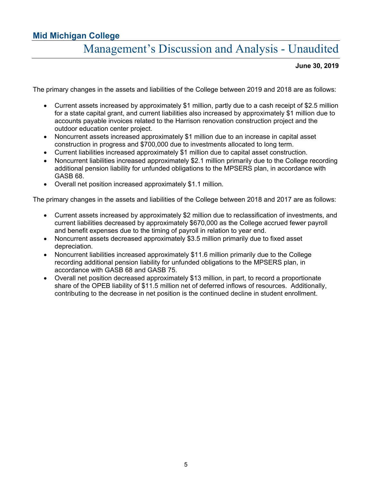## Management's Discussion and Analysis - Unaudited

**June 30, 2019** 

The primary changes in the assets and liabilities of the College between 2019 and 2018 are as follows:

- Current assets increased by approximately \$1 million, partly due to a cash receipt of \$2.5 million for a state capital grant, and current liabilities also increased by approximately \$1 million due to accounts payable invoices related to the Harrison renovation construction project and the outdoor education center project.
- Noncurrent assets increased approximately \$1 million due to an increase in capital asset construction in progress and \$700,000 due to investments allocated to long term.
- Current liabilities increased approximately \$1 million due to capital asset construction.
- Noncurrent liabilities increased approximately \$2.1 million primarily due to the College recording additional pension liability for unfunded obligations to the MPSERS plan, in accordance with GASB 68.
- Overall net position increased approximately \$1.1 million.

The primary changes in the assets and liabilities of the College between 2018 and 2017 are as follows:

- Current assets increased by approximately \$2 million due to reclassification of investments, and current liabilities decreased by approximately \$670,000 as the College accrued fewer payroll and benefit expenses due to the timing of payroll in relation to year end.
- Noncurrent assets decreased approximately \$3.5 million primarily due to fixed asset depreciation.
- Noncurrent liabilities increased approximately \$11.6 million primarily due to the College recording additional pension liability for unfunded obligations to the MPSERS plan, in accordance with GASB 68 and GASB 75.
- Overall net position decreased approximately \$13 million, in part, to record a proportionate share of the OPEB liability of \$11.5 million net of deferred inflows of resources. Additionally, contributing to the decrease in net position is the continued decline in student enrollment.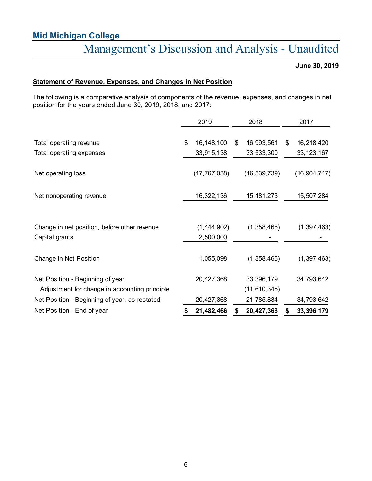# Management's Discussion and Analysis - Unaudited

#### **June 30, 2019**

### **Statement of Revenue, Expenses, and Changes in Net Position**

The following is a comparative analysis of components of the revenue, expenses, and changes in net position for the years ended June 30, 2019, 2018, and 2017:

|                                               | 2019 |                |    | 2018           | 2017             |
|-----------------------------------------------|------|----------------|----|----------------|------------------|
|                                               |      |                |    |                |                  |
| Total operating revenue                       | \$   | 16, 148, 100   | S. | 16,993,561     | \$<br>16,218,420 |
| Total operating expenses                      |      | 33,915,138     |    | 33,533,300     | 33, 123, 167     |
| Net operating loss                            |      | (17, 767, 038) |    | (16, 539, 739) | (16, 904, 747)   |
| Net nonoperating revenue                      |      | 16,322,136     |    | 15, 181, 273   | 15,507,284       |
|                                               |      |                |    |                |                  |
| Change in net position, before other revenue  |      | (1,444,902)    |    | (1,358,466)    | (1, 397, 463)    |
| Capital grants                                |      | 2,500,000      |    |                |                  |
| Change in Net Position                        |      | 1,055,098      |    | (1,358,466)    | (1, 397, 463)    |
| Net Position - Beginning of year              |      | 20,427,368     |    | 33,396,179     | 34,793,642       |
| Adjustment for change in accounting principle |      |                |    | (11, 610, 345) |                  |
| Net Position - Beginning of year, as restated |      | 20,427,368     |    | 21,785,834     | 34,793,642       |
| Net Position - End of year                    |      | 21,482,466     |    | 20,427,368     | 33,396,179       |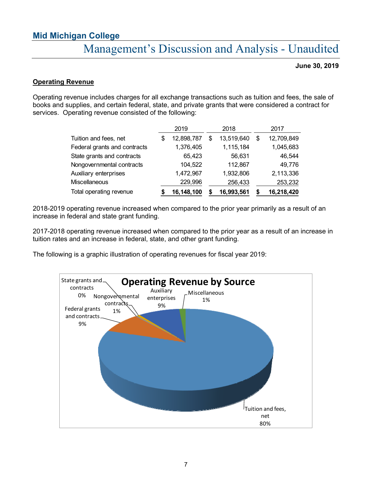## Management's Discussion and Analysis - Unaudited

**June 30, 2019** 

#### **Operating Revenue**

Operating revenue includes charges for all exchange transactions such as tuition and fees, the sale of books and supplies, and certain federal, state, and private grants that were considered a contract for services. Operating revenue consisted of the following:

|                              | 2019             |    | 2018       |   | 2017       |
|------------------------------|------------------|----|------------|---|------------|
| Tuition and fees, net        | \$<br>12,898,787 | \$ | 13,519,640 | S | 12,709,849 |
| Federal grants and contracts | 1,376,405        |    | 1,115,184  |   | 1,045,683  |
| State grants and contracts   | 65,423           |    | 56,631     |   | 46,544     |
| Nongovernmental contracts    | 104,522          |    | 112,867    |   | 49,776     |
| Auxiliary enterprises        | 1,472,967        |    | 1,932,806  |   | 2,113,336  |
| Miscellaneous                | 229,996          |    | 256,433    |   | 253,232    |
| Total operating revenue      | 16,148,100       | S  | 16,993,561 |   | 16,218,420 |

2018-2019 operating revenue increased when compared to the prior year primarily as a result of an increase in federal and state grant funding.

2017-2018 operating revenue increased when compared to the prior year as a result of an increase in tuition rates and an increase in federal, state, and other grant funding.

The following is a graphic illustration of operating revenues for fiscal year 2019:

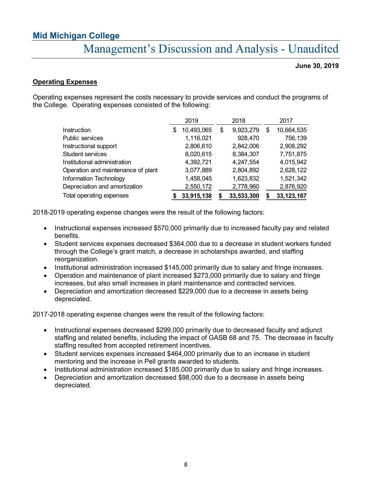## Management's Discussion and Analysis - Unaudited

**June 30, 2019** 

#### **Operating Expenses**

Operating expenses represent the costs necessary to provide services and conduct the programs of the College. Operating expenses consisted of the following:

|                                    |   | 2019       | 2018 |            | 2017             |
|------------------------------------|---|------------|------|------------|------------------|
| Instruction                        | S | 10,493,065 | \$   | 9,923,279  | \$<br>10,664,535 |
| <b>Public services</b>             |   | 1,116,021  |      | 928,470    | 756,139          |
| Instructional support              |   | 2,806,610  |      | 2,842,006  | 2,908,292        |
| Student services                   |   | 8,020,615  |      | 8,384,307  | 7,751,875        |
| Institutional administration       |   | 4,392,721  |      | 4,247,554  | 4,015,942        |
| Operation and maintenance of plant |   | 3,077,889  |      | 2,804,892  | 2,628,122        |
| Information Technology             |   | 1,458,045  |      | 1,623,832  | 1,521,342        |
| Depreciation and amortization      |   | 2,550,172  |      | 2,778,960  | 2,876,920        |
| Total operating expenses           |   | 33,915,138 |      | 33,533,300 | 33, 123, 167     |

2018-2019 operating expense changes were the result of the following factors:

- Instructional expenses increased \$570,000 primarily due to increased faculty pay and related benefits.
- Student services expenses decreased \$364,000 due to a decrease in student workers funded through the College's grant match, a decrease in scholarships awarded, and staffing reorganization.
- Institutional administration increased \$145,000 primarily due to salary and fringe increases.
- Operation and maintenance of plant increased \$273,000 primarily due to salary and fringe increases, but also small increases in plant maintenance and contracted services.
- Depreciation and amortization decreased \$229,000 due to a decrease in assets being depreciated.

2017-2018 operating expense changes were the result of the following factors:

- Instructional expenses decreased \$299,000 primarily due to decreased faculty and adjunct staffing and related benefits, including the impact of GASB 68 and 75. The decrease in faculty staffing resulted from accepted retirement incentives.
- Student services expenses increased \$464,000 primarily due to an increase in student mentoring and the increase in Pell grants awarded to students.
- Institutional administration increased \$185,000 primarily due to salary and fringe increases.
- Depreciation and amortization decreased \$98,000 due to a decrease in assets being depreciated.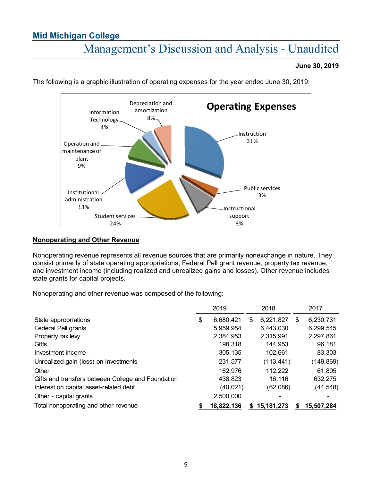## Management's Discussion and Analysis - Unaudited

#### **June 30, 2019**



The following is a graphic illustration of operating expenses for the year ended June 30, 2019:

#### **Nonoperating and Other Revenue**

Nonoperating revenue represents all revenue sources that are primarily nonexchange in nature. They consist primarily of state operating appropriations, Federal Pell grant revenue, property tax revenue, and investment income (including realized and unrealized gains and losses). Other revenue includes state grants for capital projects.

Nonoperating and other revenue was composed of the following:

|                                                    | 2019 |            |   | 2018         | 2017            |
|----------------------------------------------------|------|------------|---|--------------|-----------------|
| State appropriations                               | \$   | 6,680,421  | S | 6,221,827    | \$<br>6,230,731 |
| Federal Pell grants                                |      | 5,959,954  |   | 6,443,030    | 6,299,545       |
| Property tax levy                                  |      | 2,384,953  |   | 2,315,991    | 2,297,861       |
| Gifts                                              |      | 198,318    |   | 144,953      | 96,181          |
| Investment income                                  |      | 305,135    |   | 102,661      | 83,303          |
| Unrealized gain (loss) on investments              |      | 231,577    |   | (113, 441)   | (149, 869)      |
| Other                                              |      | 162,976    |   | 112,222      | 61,805          |
| Gifts and transfers between College and Foundation |      | 438,823    |   | 16,116       | 632,275         |
| Interest on capital asset-related debt             |      | (40, 021)  |   | (62,086)     | (44,548)        |
| Other - capital grants                             |      | 2,500,000  |   |              |                 |
| Total nonoperating and other revenue               |      | 18,822,136 | S | 15, 181, 273 | 15,507,284      |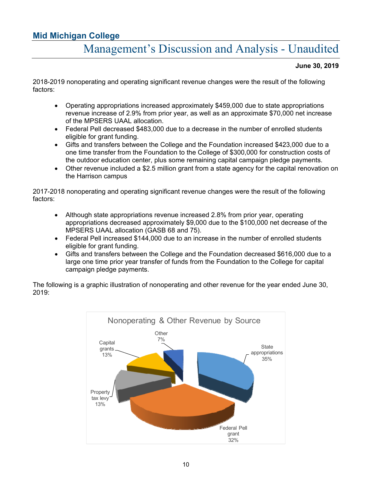## Management's Discussion and Analysis - Unaudited

#### **June 30, 2019**

2018-2019 nonoperating and operating significant revenue changes were the result of the following factors:

- Operating appropriations increased approximately \$459,000 due to state appropriations revenue increase of 2.9% from prior year, as well as an approximate \$70,000 net increase of the MPSERS UAAL allocation.
- Federal Pell decreased \$483,000 due to a decrease in the number of enrolled students eligible for grant funding.
- Gifts and transfers between the College and the Foundation increased \$423,000 due to a one time transfer from the Foundation to the College of \$300,000 for construction costs of the outdoor education center, plus some remaining capital campaign pledge payments.
- Other revenue included a \$2.5 million grant from a state agency for the capital renovation on the Harrison campus

2017-2018 nonoperating and operating significant revenue changes were the result of the following factors:

- Although state appropriations revenue increased 2.8% from prior year, operating appropriations decreased approximately \$9,000 due to the \$100,000 net decrease of the MPSERS UAAL allocation (GASB 68 and 75).
- Federal Pell increased \$144,000 due to an increase in the number of enrolled students eligible for grant funding.
- Gifts and transfers between the College and the Foundation decreased \$616,000 due to a large one time prior year transfer of funds from the Foundation to the College for capital campaign pledge payments.

The following is a graphic illustration of nonoperating and other revenue for the year ended June 30, 2019:

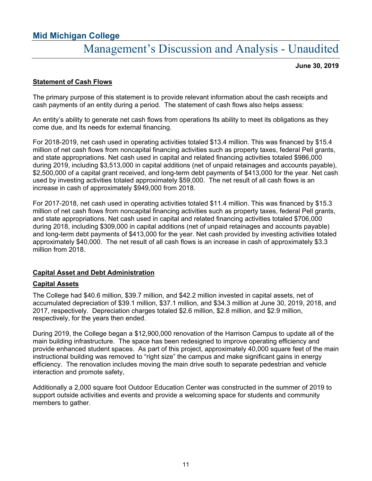## Management's Discussion and Analysis - Unaudited

**June 30, 2019** 

#### **Statement of Cash Flows**

The primary purpose of this statement is to provide relevant information about the cash receipts and cash payments of an entity during a period. The statement of cash flows also helps assess:

An entity's ability to generate net cash flows from operations Its ability to meet its obligations as they come due, and Its needs for external financing.

For 2018-2019, net cash used in operating activities totaled \$13.4 million. This was financed by \$15.4 million of net cash flows from noncapital financing activities such as property taxes, federal Pell grants, and state appropriations. Net cash used in capital and related financing activities totaled \$986,000 during 2019, including \$3,513,000 in capital additions (net of unpaid retainages and accounts payable), \$2,500,000 of a capital grant received, and long-term debt payments of \$413,000 for the year. Net cash used by investing activities totaled approximately \$59,000. The net result of all cash flows is an increase in cash of approximately \$949,000 from 2018.

For 2017-2018, net cash used in operating activities totaled \$11.4 million. This was financed by \$15.3 million of net cash flows from noncapital financing activities such as property taxes, federal Pell grants, and state appropriations. Net cash used in capital and related financing activities totaled \$706,000 during 2018, including \$309,000 in capital additions (net of unpaid retainages and accounts payable) and long-term debt payments of \$413,000 for the year. Net cash provided by investing activities totaled approximately \$40,000. The net result of all cash flows is an increase in cash of approximately \$3.3 million from 2018.

#### **Capital Asset and Debt Administration**

#### **Capital Assets**

The College had \$40.6 million, \$39.7 million, and \$42.2 million invested in capital assets, net of accumulated depreciation of \$39.1 million, \$37.1 million, and \$34.3 million at June 30, 2019, 2018, and 2017, respectively. Depreciation charges totaled \$2.6 million, \$2.8 million, and \$2.9 million, respectively, for the years then ended.

During 2019, the College began a \$12,900,000 renovation of the Harrison Campus to update all of the main building infrastructure. The space has been redesigned to improve operating efficiency and provide enhanced student spaces. As part of this project, approximately 40,000 square feet of the main instructional building was removed to "right size" the campus and make significant gains in energy efficiency. The renovation includes moving the main drive south to separate pedestrian and vehicle interaction and promote safety,

Additionally a 2,000 square foot Outdoor Education Center was constructed in the summer of 2019 to support outside activities and events and provide a welcoming space for students and community members to gather.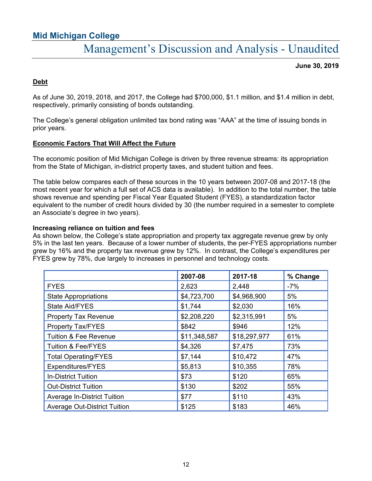## Management's Discussion and Analysis - Unaudited

**June 30, 2019** 

### **Debt**

As of June 30, 2019, 2018, and 2017, the College had \$700,000, \$1.1 million, and \$1.4 million in debt, respectively, primarily consisting of bonds outstanding.

The College's general obligation unlimited tax bond rating was "AAA" at the time of issuing bonds in prior years.

#### **Economic Factors That Will Affect the Future**

The economic position of Mid Michigan College is driven by three revenue streams: its appropriation from the State of Michigan, in-district property taxes, and student tuition and fees.

The table below compares each of these sources in the 10 years between 2007-08 and 2017-18 (the most recent year for which a full set of ACS data is available). In addition to the total number, the table shows revenue and spending per Fiscal Year Equated Student (FYES), a standardization factor equivalent to the number of credit hours divided by 30 (the number required in a semester to complete an Associate's degree in two years).

#### **Increasing reliance on tuition and fees**

As shown below, the College's state appropriation and property tax aggregate revenue grew by only 5% in the last ten years. Because of a lower number of students, the per-FYES appropriations number grew by 16% and the property tax revenue grew by 12%. In contrast, the College's expenditures per FYES grew by 78%, due largely to increases in personnel and technology costs.

|                                     | 2007-08      | 2017-18      | % Change |
|-------------------------------------|--------------|--------------|----------|
| <b>FYES</b>                         | 2,623        | 2,448        | $-7%$    |
| <b>State Appropriations</b>         | \$4,723,700  | \$4,968,900  | 5%       |
| <b>State Aid/FYES</b>               | \$1,744      | \$2,030      | 16%      |
| <b>Property Tax Revenue</b>         | \$2,208,220  | \$2,315,991  | 5%       |
| Property Tax/FYES                   | \$842        | \$946        | 12%      |
| <b>Tuition &amp; Fee Revenue</b>    | \$11,348,587 | \$18,297,977 | 61%      |
| Tuition & Fee/FYES                  | \$4,326      | \$7,475      | 73%      |
| <b>Total Operating/FYES</b>         | \$7,144      | \$10,472     | 47%      |
| Expenditures/FYES                   | \$5,813      | \$10,355     | 78%      |
| <b>In-District Tuition</b>          | \$73         | \$120        | 65%      |
| <b>Out-District Tuition</b>         | \$130        | \$202        | 55%      |
| <b>Average In-District Tuition</b>  | \$77         | \$110        | 43%      |
| <b>Average Out-District Tuition</b> | \$125        | \$183        | 46%      |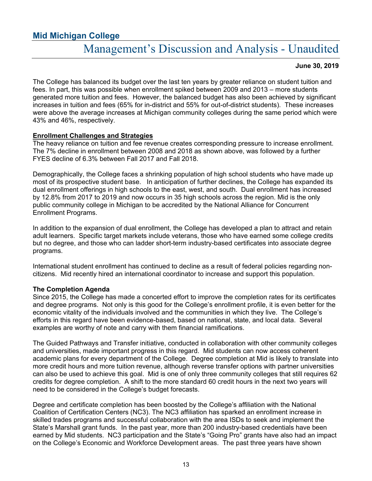## Management's Discussion and Analysis - Unaudited

#### **June 30, 2019**

The College has balanced its budget over the last ten years by greater reliance on student tuition and fees. In part, this was possible when enrollment spiked between 2009 and 2013 – more students generated more tuition and fees. However, the balanced budget has also been achieved by significant increases in tuition and fees (65% for in-district and 55% for out-of-district students). These increases were above the average increases at Michigan community colleges during the same period which were 43% and 46%, respectively.

#### **Enrollment Challenges and Strategies**

The heavy reliance on tuition and fee revenue creates corresponding pressure to increase enrollment. The 7% decline in enrollment between 2008 and 2018 as shown above, was followed by a further FYES decline of 6.3% between Fall 2017 and Fall 2018.

Demographically, the College faces a shrinking population of high school students who have made up most of its prospective student base. In anticipation of further declines, the College has expanded its dual enrollment offerings in high schools to the east, west, and south. Dual enrollment has increased by 12.8% from 2017 to 2019 and now occurs in 35 high schools across the region. Mid is the only public community college in Michigan to be accredited by the National Alliance for Concurrent Enrollment Programs.

In addition to the expansion of dual enrollment, the College has developed a plan to attract and retain adult learners. Specific target markets include veterans, those who have earned some college credits but no degree, and those who can ladder short-term industry-based certificates into associate degree programs.

International student enrollment has continued to decline as a result of federal policies regarding noncitizens. Mid recently hired an international coordinator to increase and support this population.

#### **The Completion Agenda**

Since 2015, the College has made a concerted effort to improve the completion rates for its certificates and degree programs. Not only is this good for the College's enrollment profile, it is even better for the economic vitality of the individuals involved and the communities in which they live. The College's efforts in this regard have been evidence-based, based on national, state, and local data. Several examples are worthy of note and carry with them financial ramifications.

The Guided Pathways and Transfer initiative, conducted in collaboration with other community colleges and universities, made important progress in this regard. Mid students can now access coherent academic plans for every department of the College. Degree completion at Mid is likely to translate into more credit hours and more tuition revenue, although reverse transfer options with partner universities can also be used to achieve this goal. Mid is one of only three community colleges that still requires 62 credits for degree completion. A shift to the more standard 60 credit hours in the next two years will need to be considered in the College's budget forecasts.

Degree and certificate completion has been boosted by the College's affiliation with the National Coalition of Certification Centers (NC3). The NC3 affiliation has sparked an enrollment increase in skilled trades programs and successful collaboration with the area ISDs to seek and implement the State's Marshall grant funds. In the past year, more than 200 industry-based credentials have been earned by Mid students. NC3 participation and the State's "Going Pro" grants have also had an impact on the College's Economic and Workforce Development areas. The past three years have shown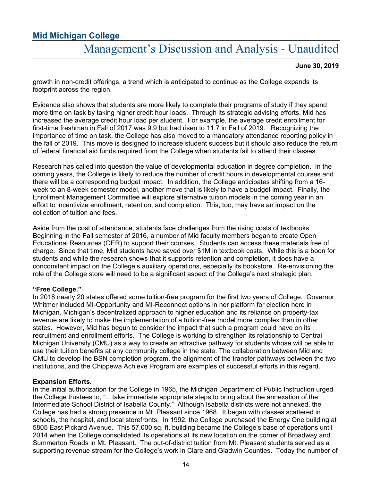## Management's Discussion and Analysis - Unaudited

#### **June 30, 2019**

growth in non-credit offerings, a trend which is anticipated to continue as the College expands its footprint across the region.

Evidence also shows that students are more likely to complete their programs of study if they spend more time on task by taking higher credit hour loads. Through its strategic advising efforts, Mid has increased the average credit hour load per student. For example, the average credit enrollment for first-time freshmen in Fall of 2017 was 9.9 but had risen to 11.7 in Fall of 2019. Recognizing the importance of time on task, the College has also moved to a mandatory attendance reporting policy in the fall of 2019. This move is designed to increase student success but it should also reduce the return of federal financial aid funds required from the College when students fail to attend their classes.

Research has called into question the value of developmental education in degree completion. In the coming years, the College is likely to reduce the number of credit hours in developmental courses and there will be a corresponding budget impact. In addition, the College anticipates shifting from a 16 week to an 8-week semester model, another move that is likely to have a budget impact. Finally, the Enrollment Management Committee will explore alternative tuition models in the coming year in an effort to incentivize enrollment, retention, and completion. This, too, may have an impact on the collection of tuition and fees.

Aside from the cost of attendance, students face challenges from the rising costs of textbooks. Beginning in the Fall semester of 2016, a number of Mid faculty members began to create Open Educational Resources (OER) to support their courses. Students can access these materials free of charge. Since that time, Mid students have saved over \$1M in textbook costs. While this is a boon for students and while the research shows that it supports retention and completion, it does have a concomitant impact on the College's auxiliary operations, especially its bookstore. Re-envisioning the role of the College store will need to be a significant aspect of the College's next strategic plan.

#### **"Free College."**

In 2018 nearly 20 states offered some tuition-free program for the first two years of College. Governor Whitmer included MI-Opportunity and MI-Reconnect options in her platform for election here in Michigan. Michigan's decentralized approach to higher education and its reliance on property-tax revenue are likely to make the implementation of a tuition-free model more complex than in other states. However, Mid has begun to consider the impact that such a program could have on its recruitment and enrollment efforts. The College is working to strengthen its relationship to Central Michigan University (CMU) as a way to create an attractive pathway for students whose will be able to use their tuition benefits at any community college in the state. The collaboration between Mid and CMU to develop the BSN completion program, the alignment of the transfer pathways between the two institutions, and the Chippewa Achieve Program are examples of successful efforts in this regard.

#### **Expansion Efforts.**

In the initial authorization for the College in 1965, the Michigan Department of Public Instruction urged the College trustees to, "…take immediate appropriate steps to bring about the annexation of the Intermediate School District of Isabella County." Although Isabella districts were not annexed, the College has had a strong presence in Mt. Pleasant since 1968. It began with classes scattered in schools, the hospital, and local storefronts. In 1992, the College purchased the Energy One building at 5805 East Pickard Avenue. This 57,000 sq. ft. building became the College's base of operations until 2014 when the College consolidated its operations at its new location on the corner of Broadway and Summerton Roads in Mt. Pleasant. The out-of-district tuition from Mt. Pleasant students served as a supporting revenue stream for the College's work in Clare and Gladwin Counties. Today the number of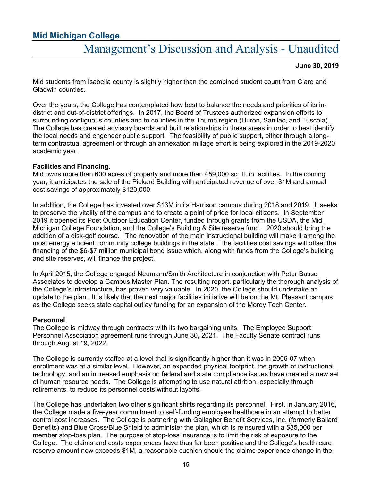## Management's Discussion and Analysis - Unaudited

#### **June 30, 2019**

Mid students from Isabella county is slightly higher than the combined student count from Clare and Gladwin counties.

Over the years, the College has contemplated how best to balance the needs and priorities of its indistrict and out-of-district offerings. In 2017, the Board of Trustees authorized expansion efforts to surrounding contiguous counties and to counties in the Thumb region (Huron, Sanilac, and Tuscola). The College has created advisory boards and built relationships in these areas in order to best identify the local needs and engender public support. The feasibility of public support, either through a longterm contractual agreement or through an annexation millage effort is being explored in the 2019-2020 academic year.

#### **Facilities and Financing.**

Mid owns more than 600 acres of property and more than 459,000 sq. ft. in facilities. In the coming year, it anticipates the sale of the Pickard Building with anticipated revenue of over \$1M and annual cost savings of approximately \$120,000.

In addition, the College has invested over \$13M in its Harrison campus during 2018 and 2019. It seeks to preserve the vitality of the campus and to create a point of pride for local citizens. In September 2019 it opened its Poet Outdoor Education Center, funded through grants from the USDA, the Mid Michigan College Foundation, and the College's Building & Site reserve fund. 2020 should bring the addition of a disk-golf course. The renovation of the main instructional building will make it among the most energy efficient community college buildings in the state. The facilities cost savings will offset the financing of the \$6-\$7 million municipal bond issue which, along with funds from the College's building and site reserves, will finance the project.

In April 2015, the College engaged Neumann/Smith Architecture in conjunction with Peter Basso Associates to develop a Campus Master Plan. The resulting report, particularly the thorough analysis of the College's infrastructure, has proven very valuable. In 2020, the College should undertake an update to the plan. It is likely that the next major facilities initiative will be on the Mt. Pleasant campus as the College seeks state capital outlay funding for an expansion of the Morey Tech Center.

#### **Personnel**

The College is midway through contracts with its two bargaining units. The Employee Support Personnel Association agreement runs through June 30, 2021. The Faculty Senate contract runs through August 19, 2022.

The College is currently staffed at a level that is significantly higher than it was in 2006-07 when enrollment was at a similar level. However, an expanded physical footprint, the growth of instructional technology, and an increased emphasis on federal and state compliance issues have created a new set of human resource needs. The College is attempting to use natural attrition, especially through retirements, to reduce its personnel costs without layoffs.

The College has undertaken two other significant shifts regarding its personnel. First, in January 2016, the College made a five-year commitment to self-funding employee healthcare in an attempt to better control cost increases. The College is partnering with Gallagher Benefit Services, Inc. (formerly Ballard Benefits) and Blue Cross/Blue Shield to administer the plan, which is reinsured with a \$35,000 per member stop-loss plan. The purpose of stop-loss insurance is to limit the risk of exposure to the College. The claims and costs experiences have thus far been positive and the College's health care reserve amount now exceeds \$1M, a reasonable cushion should the claims experience change in the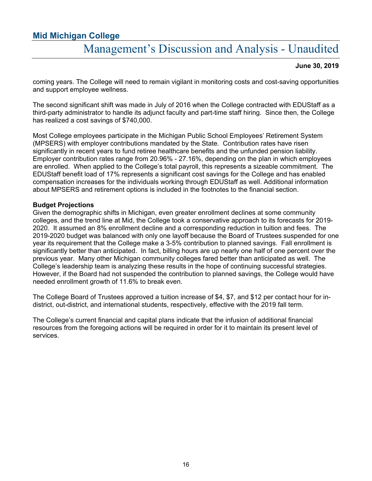## Management's Discussion and Analysis - Unaudited

#### **June 30, 2019**

coming years. The College will need to remain vigilant in monitoring costs and cost-saving opportunities and support employee wellness.

The second significant shift was made in July of 2016 when the College contracted with EDUStaff as a third-party administrator to handle its adjunct faculty and part-time staff hiring. Since then, the College has realized a cost savings of \$740,000.

Most College employees participate in the Michigan Public School Employees' Retirement System (MPSERS) with employer contributions mandated by the State. Contribution rates have risen significantly in recent years to fund retiree healthcare benefits and the unfunded pension liability. Employer contribution rates range from 20.96% - 27.16%, depending on the plan in which employees are enrolled. When applied to the College's total payroll, this represents a sizeable commitment. The EDUStaff benefit load of 17% represents a significant cost savings for the College and has enabled compensation increases for the individuals working through EDUStaff as well. Additional information about MPSERS and retirement options is included in the footnotes to the financial section.

#### **Budget Projections**

Given the demographic shifts in Michigan, even greater enrollment declines at some community colleges, and the trend line at Mid, the College took a conservative approach to its forecasts for 2019- 2020. It assumed an 8% enrollment decline and a corresponding reduction in tuition and fees. The 2019-2020 budget was balanced with only one layoff because the Board of Trustees suspended for one year its requirement that the College make a 3-5% contribution to planned savings. Fall enrollment is significantly better than anticipated. In fact, billing hours are up nearly one half of one percent over the previous year. Many other Michigan community colleges fared better than anticipated as well. The College's leadership team is analyzing these results in the hope of continuing successful strategies. However, if the Board had not suspended the contribution to planned savings, the College would have needed enrollment growth of 11.6% to break even.

The College Board of Trustees approved a tuition increase of \$4, \$7, and \$12 per contact hour for indistrict, out-district, and international students, respectively, effective with the 2019 fall term.

The College's current financial and capital plans indicate that the infusion of additional financial resources from the foregoing actions will be required in order for it to maintain its present level of services.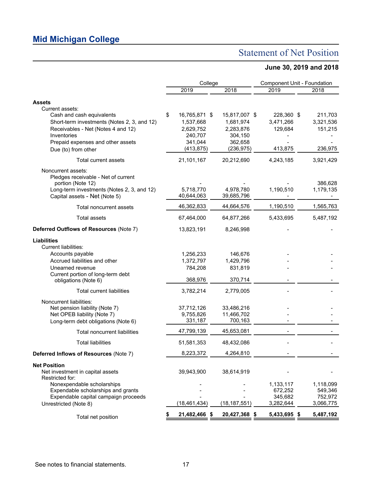## Statement of Net Position

### **June 30, 2019 and 2018**

|                                                                             | College                 |                         | Component Unit - Foundation |           |
|-----------------------------------------------------------------------------|-------------------------|-------------------------|-----------------------------|-----------|
|                                                                             | 2019                    | 2018                    | 2019                        | 2018      |
| <b>Assets</b>                                                               |                         |                         |                             |           |
| Current assets:                                                             |                         |                         |                             |           |
| Cash and cash equivalents                                                   | \$<br>16,765,871 \$     | 15,817,007 \$           | 228,360 \$                  | 211,703   |
| Short-term investments (Notes 2, 3, and 12)                                 | 1,537,668               | 1,681,974               | 3,471,266                   | 3,321,536 |
| Receivables - Net (Notes 4 and 12)                                          | 2,629,752               | 2,283,876               | 129,684                     | 151,215   |
| Inventories                                                                 | 240,707                 | 304,150                 |                             |           |
| Prepaid expenses and other assets                                           | 341,044                 | 362,658                 |                             |           |
| Due (to) from other                                                         | (413, 875)              | (236, 975)              | 413,875                     | 236,975   |
| Total current assets                                                        | 21,101,167              | 20,212,690              | 4,243,185                   | 3,921,429 |
|                                                                             |                         |                         |                             |           |
| Noncurrent assets:                                                          |                         |                         |                             |           |
| Pledges receivable - Net of current                                         |                         |                         |                             |           |
| portion (Note 12)                                                           |                         |                         |                             | 386,628   |
| Long-term investments (Notes 2, 3, and 12)<br>Capital assets - Net (Note 5) | 5,718,770<br>40,644,063 | 4,978,780<br>39,685,796 | 1,190,510                   | 1,179,135 |
| Total noncurrent assets                                                     | 46,362,833              | 44,664,576              | 1,190,510                   | 1,565,763 |
| Total assets                                                                | 67,464,000              | 64,877,266              | 5,433,695                   | 5,487,192 |
| Deferred Outflows of Resources (Note 7)                                     | 13,823,191              | 8,246,998               |                             |           |
| <b>Liabilities</b>                                                          |                         |                         |                             |           |
| <b>Current liabilities:</b>                                                 |                         |                         |                             |           |
| Accounts payable                                                            | 1,256,233               | 146,676                 |                             |           |
| Accrued liabilities and other                                               | 1,372,797               | 1,429,796               |                             |           |
| Unearned revenue                                                            | 784,208                 | 831,819                 |                             |           |
| Current portion of long-term debt                                           |                         |                         |                             |           |
| obligations (Note 6)                                                        | 368,976                 | 370,714                 |                             |           |
| <b>Total current liabilities</b>                                            | 3,782,214               | 2,779,005               |                             |           |
| Noncurrent liabilities:                                                     |                         |                         |                             |           |
| Net pension liability (Note 7)                                              | 37,712,126              | 33,486,216              |                             |           |
| Net OPEB liability (Note 7)                                                 | 9,755,826               | 11,466,702              |                             |           |
| Long-term debt obligations (Note 6)                                         | 331,187                 | 700,163                 |                             |           |
| <b>Total noncurrent liabilities</b>                                         | 47,799,139              | 45,653,081              |                             |           |
| <b>Total liabilities</b>                                                    | 51,581,353              | 48,432,086              |                             |           |
| Deferred Inflows of Resources (Note 7)                                      | 8,223,372               | 4,264,810               |                             |           |
| <b>Net Position</b>                                                         |                         |                         |                             |           |
| Net investment in capital assets                                            | 39,943,900              | 38,614,919              |                             |           |
| Restricted for:                                                             |                         |                         |                             |           |
| Nonexpendable scholarships                                                  |                         |                         | 1,133,117                   | 1,118,099 |
| Expendable scholarships and grants                                          |                         |                         | 672,252                     | 549,346   |
| Expendable capital campaign proceeds                                        |                         |                         | 345,682                     | 752,972   |
| Unrestricted (Note 8)                                                       | (18, 461, 434)          | (18, 187, 551)          | 3,282,644                   | 3,066,775 |
| Total net position                                                          | 21,482,466 \$           | 20,427,368 \$           | 5,433,695 \$                | 5,487,192 |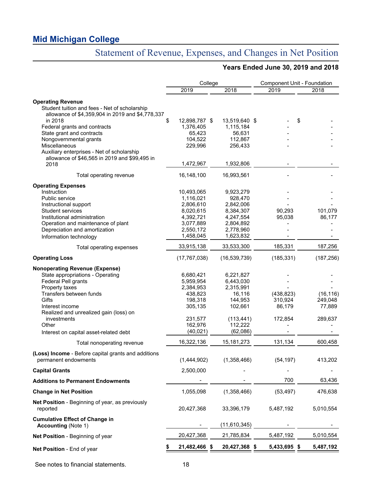## Statement of Revenue, Expenses, and Changes in Net Position

### **Years Ended June 30, 2019 and 2018**

|                                                                     | College                |                        | Component Unit - Foundation |            |
|---------------------------------------------------------------------|------------------------|------------------------|-----------------------------|------------|
|                                                                     | 2019                   | 2018                   | 2019                        | 2018       |
| <b>Operating Revenue</b>                                            |                        |                        |                             |            |
| Student tuition and fees - Net of scholarship                       |                        |                        |                             |            |
| allowance of \$4,359,904 in 2019 and \$4,778,337                    |                        |                        |                             |            |
| in 2018                                                             | \$<br>12,898,787 \$    | 13,519,640 \$          | \$                          |            |
| Federal grants and contracts                                        | 1,376,405              | 1,115,184              |                             |            |
| State grant and contracts<br>Nongovernmental grants                 | 65,423<br>104,522      | 56,631<br>112,867      |                             |            |
| Miscellaneous                                                       | 229,996                | 256,433                |                             |            |
| Auxiliary enterprises - Net of scholarship                          |                        |                        |                             |            |
| allowance of \$46,565 in 2019 and \$99,495 in                       |                        |                        |                             |            |
| 2018                                                                | 1,472,967              | 1,932,806              |                             |            |
| Total operating revenue                                             | 16,148,100             | 16,993,561             |                             |            |
| <b>Operating Expenses</b>                                           |                        |                        |                             |            |
| Instruction                                                         | 10,493,065             | 9,923,279              |                             |            |
| Public service                                                      | 1,116,021              | 928,470                |                             |            |
| Instructional support                                               | 2,806,610              | 2,842,006              |                             |            |
| Student services                                                    | 8,020,615              | 8,384,307              | 90.293                      | 101,079    |
| Institutional administration                                        | 4,392,721              | 4,247,554              | 95,038                      | 86,177     |
| Operation and maintenance of plant                                  | 3,077,889              | 2,804,892              |                             |            |
| Depreciation and amortization                                       | 2,550,172<br>1,458,045 | 2,778,960<br>1,623,832 |                             |            |
| Information technology                                              |                        |                        |                             |            |
| Total operating expenses                                            | 33,915,138             | 33,533,300             | 185,331                     | 187,256    |
| <b>Operating Loss</b>                                               | (17, 767, 038)         | (16, 539, 739)         | (185, 331)                  | (187, 256) |
| <b>Nonoperating Revenue (Expense)</b>                               |                        |                        |                             |            |
| State appropriations - Operating                                    | 6,680,421              | 6,221,827              |                             |            |
| Federal Pell grants                                                 | 5,959,954              | 6,443,030              |                             |            |
| Property taxes<br>Transfers between funds                           | 2,384,953<br>438,823   | 2,315,991<br>16,116    | (438, 823)                  | (16, 116)  |
| Gifts                                                               | 198,318                | 144,953                | 310,924                     | 249,048    |
| Interest income                                                     | 305,135                | 102,661                | 86,179                      | 77,889     |
| Realized and unrealized gain (loss) on                              |                        |                        |                             |            |
| investments                                                         | 231,577                | (113, 441)             | 172,854                     | 289,637    |
| Other                                                               | 162,976                | 112,222                |                             |            |
| Interest on capital asset-related debt                              | (40, 021)              | (62,086)               |                             |            |
| Total nonoperating revenue                                          | 16,322,136             | 15, 181, 273           | 131,134                     | 600.458    |
| (Loss) Income - Before capital grants and additions                 |                        |                        |                             |            |
| permanent endowments                                                | (1,444,902)            | (1,358,466)            | (54, 197)                   | 413,202    |
| <b>Capital Grants</b>                                               | 2,500,000              |                        |                             |            |
| <b>Additions to Permanent Endowments</b>                            |                        |                        | 700                         | 63,436     |
| <b>Change in Net Position</b>                                       | 1,055,098              | (1,358,466)            | (53, 497)                   | 476,638    |
| <b>Net Position</b> - Beginning of year, as previously<br>reported  | 20,427,368             | 33,396,179             | 5,487,192                   | 5,010,554  |
|                                                                     |                        |                        |                             |            |
| <b>Cumulative Effect of Change in</b><br><b>Accounting (Note 1)</b> |                        | (11,610,345)           |                             |            |
| Net Position - Beginning of year                                    | 20,427,368             | 21,785,834             | 5,487,192                   | 5,010,554  |
| Net Position - End of year                                          | 21,482,466 \$          | 20,427,368 \$          | 5,433,695 \$                | 5,487,192  |
|                                                                     |                        |                        |                             |            |

See notes to financial statements. 18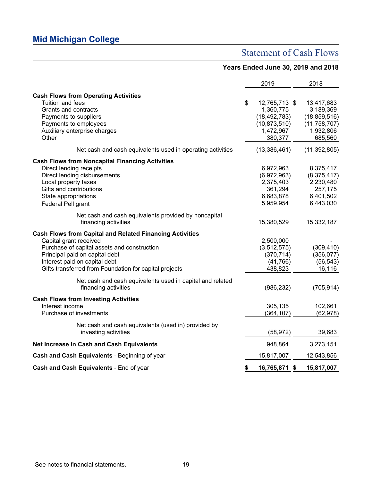## Statement of Cash Flows

## **Years Ended June 30, 2019 and 2018**

|                                                                                                                                                                                                                                                                       | 2019                                                                                         | 2018                                                                                |
|-----------------------------------------------------------------------------------------------------------------------------------------------------------------------------------------------------------------------------------------------------------------------|----------------------------------------------------------------------------------------------|-------------------------------------------------------------------------------------|
| <b>Cash Flows from Operating Activities</b><br>Tuition and fees<br>Grants and contracts<br>Payments to suppliers<br>Payments to employees<br>Auxiliary enterprise charges<br>Other                                                                                    | \$<br>12,765,713 \$<br>1,360,775<br>(18, 492, 783)<br>(10, 873, 510)<br>1,472,967<br>380,377 | 13,417,683<br>3,189,369<br>(18, 859, 516)<br>(11, 758, 707)<br>1,932,806<br>685,560 |
| Net cash and cash equivalents used in operating activities                                                                                                                                                                                                            | (13,386,461)                                                                                 | (11, 392, 805)                                                                      |
| <b>Cash Flows from Noncapital Financing Activities</b><br>Direct lending receipts<br>Direct lending disbursements<br>Local property taxes<br>Gifts and contributions<br>State appropriations<br>Federal Pell grant                                                    | 6,972,963<br>(6,972,963)<br>2,375,403<br>361,294<br>6,683,878<br>5,959,954                   | 8,375,417<br>(8,375,417)<br>2,230,480<br>257,175<br>6,401,502<br>6,443,030          |
| Net cash and cash equivalents provided by noncapital<br>financing activities                                                                                                                                                                                          | 15,380,529                                                                                   | 15,332,187                                                                          |
| <b>Cash Flows from Capital and Related Financing Activities</b><br>Capital grant received<br>Purchase of capital assets and construction<br>Principal paid on capital debt<br>Interest paid on capital debt<br>Gifts transferred from Foundation for capital projects | 2,500,000<br>(3,512,575)<br>(370, 714)<br>(41, 766)<br>438,823                               | (309, 410)<br>(356, 077)<br>(56, 543)<br>16,116                                     |
| Net cash and cash equivalents used in capital and related<br>financing activities                                                                                                                                                                                     | (986, 232)                                                                                   | (705, 914)                                                                          |
| <b>Cash Flows from Investing Activities</b><br>Interest income<br>Purchase of investments                                                                                                                                                                             | 305,135<br>(364, 107)                                                                        | 102,661<br>(62, 978)                                                                |
| Net cash and cash equivalents (used in) provided by<br>investing activities                                                                                                                                                                                           | (58, 972)                                                                                    | 39,683                                                                              |
| Net Increase in Cash and Cash Equivalents                                                                                                                                                                                                                             | 948,864                                                                                      | 3,273,151                                                                           |
| Cash and Cash Equivalents - Beginning of year                                                                                                                                                                                                                         | 15,817,007                                                                                   | 12,543,856                                                                          |
| Cash and Cash Equivalents - End of year                                                                                                                                                                                                                               | \$<br>16,765,871 \$                                                                          | 15,817,007                                                                          |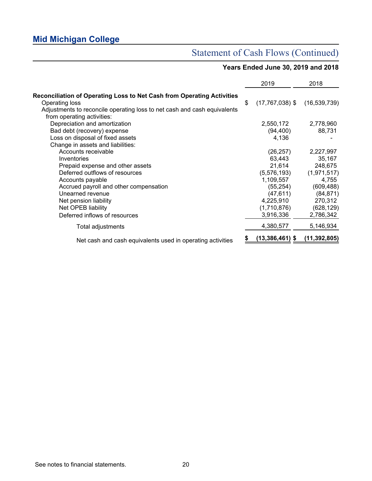## Statement of Cash Flows (Continued)

## **Years Ended June 30, 2019 and 2018**

|                                                                                                                                                                      | 2019                      | 2018           |
|----------------------------------------------------------------------------------------------------------------------------------------------------------------------|---------------------------|----------------|
| Reconciliation of Operating Loss to Net Cash from Operating Activities<br>Operating loss<br>Adjustments to reconcile operating loss to net cash and cash equivalents | \$<br>$(17, 767, 038)$ \$ | (16, 539, 739) |
| from operating activities:<br>Depreciation and amortization                                                                                                          | 2,550,172                 | 2,778,960      |
| Bad debt (recovery) expense                                                                                                                                          | (94, 400)                 | 88,731         |
| Loss on disposal of fixed assets                                                                                                                                     | 4,136                     |                |
| Change in assets and liabilities:                                                                                                                                    |                           |                |
| Accounts receivable                                                                                                                                                  | (26, 257)                 | 2,227,997      |
| Inventories                                                                                                                                                          | 63,443                    | 35,167         |
| Prepaid expense and other assets                                                                                                                                     | 21,614                    | 248,675        |
| Deferred outflows of resources                                                                                                                                       | (5,576,193)               | (1,971,517)    |
| Accounts payable                                                                                                                                                     | 1,109,557                 | 4,755          |
| Accrued payroll and other compensation                                                                                                                               | (55, 254)                 | (609, 488)     |
| Unearned revenue                                                                                                                                                     | (47, 611)                 | (84, 871)      |
| Net pension liability                                                                                                                                                | 4,225,910                 | 270,312        |
| Net OPEB liability                                                                                                                                                   | (1,710,876)               | (628, 129)     |
| Deferred inflows of resources                                                                                                                                        | 3,916,336                 | 2,786,342      |
| Total adjustments                                                                                                                                                    | 4,380,577                 | 5,146,934      |
| Net cash and cash equivalents used in operating activities                                                                                                           | (13,386,461) \$           | (11,392,805)   |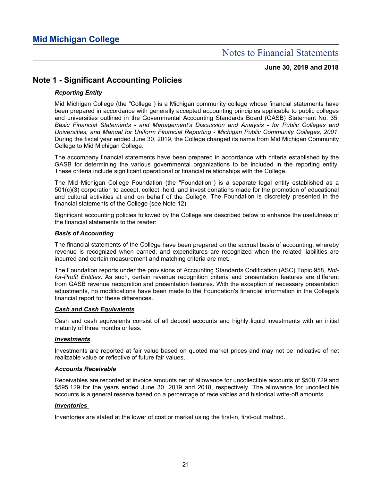#### **June 30, 2019 and 2018**

#### **Note 1 - Significant Accounting Policies**

#### *Reporting Entity*

Mid Michigan College (the "College") is a Michigan community college whose financial statements have been prepared in accordance with generally accepted accounting principles applicable to public colleges and universities outlined in the Governmental Accounting Standards Board (GASB) Statement No. 35, *Basic Financial Statements - and Management's Discussion and Analysis - for Public Colleges and Universities, and Manual for Uniform Financial Reporting - Michigan Public Community Colleges, 2001*. During the fiscal year ended June 30, 2019, the College changed its name from Mid Michigan Community College to Mid Michigan College.

The accompany financial statements have been prepared in accordance with criteria established by the GASB for determining the various governmental organizations to be included in the reporting entity. These criteria include significant operational or financial relationships with the College.

The Mid Michigan College Foundation (the "Foundation") is a separate legal entity established as a 501(c)(3) corporation to accept, collect, hold, and invest donations made for the promotion of educational and cultural activities at and on behalf of the College. The Foundation is discretely presented in the financial statements of the College (see Note 12).

Significant accounting policies followed by the College are described below to enhance the usefulness of the financial statements to the reader:

#### *Basis of Accounting*

The financial statements of the College have been prepared on the accrual basis of accounting, whereby revenue is recognized when earned, and expenditures are recognized when the related liabilities are incurred and certain measurement and matching criteria are met.

The Foundation reports under the provisions of Accounting Standards Codification (ASC) Topic 958, *Notfor-Profit Entities*. As such, certain revenue recognition criteria and presentation features are different from GASB revenue recognition and presentation features. With the exception of necessary presentation adjustments, no modifications have been made to the Foundation's financial information in the College's financial report for these differences.

#### *Cash and Cash Equivalents*

Cash and cash equivalents consist of all deposit accounts and highly liquid investments with an initial maturity of three months or less.

#### *Investments*

Investments are reported at fair value based on quoted market prices and may not be indicative of net realizable value or reflective of future fair values.

#### *Accounts Receivable*

Receivables are recorded at invoice amounts net of allowance for uncollectible accounts of \$500,729 and \$595,129 for the years ended June 30, 2019 and 2018, respectively. The allowance for uncollectible accounts is a general reserve based on a percentage of receivables and historical write-off amounts.

#### *Inventories*

Inventories are stated at the lower of cost or market using the first-in, first-out method.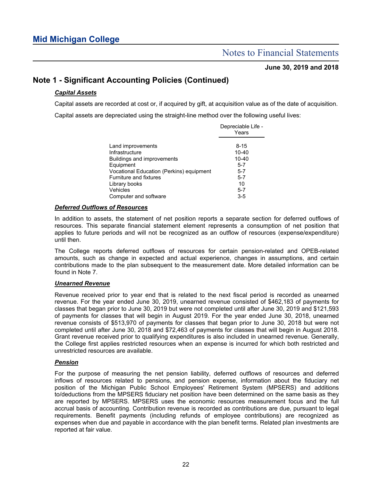#### **June 30, 2019 and 2018**

### **Note 1 - Significant Accounting Policies (Continued)**

#### *Capital Assets*

Capital assets are recorded at cost or, if acquired by gift, at acquisition value as of the date of acquisition.

Capital assets are depreciated using the straight-line method over the following useful lives:

|                                          | Depreciable Life -<br>Years |
|------------------------------------------|-----------------------------|
| Land improvements                        | 8-15                        |
| Infrastructure                           | $10 - 40$                   |
| <b>Buildings and improvements</b>        | $10 - 40$                   |
| Equipment                                | $5 - 7$                     |
| Vocational Education (Perkins) equipment | $5 - 7$                     |
| <b>Furniture and fixtures</b>            | $5 - 7$                     |
| Library books                            | 10                          |
| Vehicles                                 | $5 - 7$                     |
| Computer and software                    | 3-5                         |

#### *Deferred Outflows of Resources*

In addition to assets, the statement of net position reports a separate section for deferred outflows of resources. This separate financial statement element represents a consumption of net position that applies to future periods and will not be recognized as an outflow of resources (expense/expenditure) until then.

The College reports deferred outflows of resources for certain pension-related and OPEB-related amounts, such as change in expected and actual experience, changes in assumptions, and certain contributions made to the plan subsequent to the measurement date. More detailed information can be found in Note 7.

#### *Unearned Revenue*

Revenue received prior to year end that is related to the next fiscal period is recorded as unearned revenue. For the year ended June 30, 2019, unearned revenue consisted of \$462,183 of payments for classes that began prior to June 30, 2019 but were not completed until after June 30, 2019 and \$121,593 of payments for classes that will begin in August 2019. For the year ended June 30, 2018, unearned revenue consists of \$513,970 of payments for classes that began prior to June 30, 2018 but were not completed until after June 30, 2018 and \$72,463 of payments for classes that will begin in August 2018. Grant revenue received prior to qualifying expenditures is also included in unearned revenue. Generally, the College first applies restricted resources when an expense is incurred for which both restricted and unrestricted resources are available.

#### *Pension*

For the purpose of measuring the net pension liability, deferred outflows of resources and deferred inflows of resources related to pensions, and pension expense, information about the fiduciary net position of the Michigan Public School Employees' Retirement System (MPSERS) and additions to/deductions from the MPSERS fiduciary net position have been determined on the same basis as they are reported by MPSERS. MPSERS uses the economic resources measurement focus and the full accrual basis of accounting. Contribution revenue is recorded as contributions are due, pursuant to legal requirements. Benefit payments (including refunds of employee contributions) are recognized as expenses when due and payable in accordance with the plan benefit terms. Related plan investments are reported at fair value.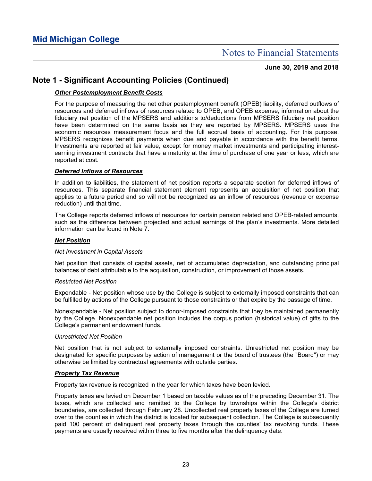#### **June 30, 2019 and 2018**

### **Note 1 - Significant Accounting Policies (Continued)**

#### *Other Postemployment Benefit Costs*

For the purpose of measuring the net other postemployment benefit (OPEB) liability, deferred outflows of resources and deferred inflows of resources related to OPEB, and OPEB expense, information about the fiduciary net position of the MPSERS and additions to/deductions from MPSERS fiduciary net position have been determined on the same basis as they are reported by MPSERS. MPSERS uses the economic resources measurement focus and the full accrual basis of accounting. For this purpose, MPSERS recognizes benefit payments when due and payable in accordance with the benefit terms. Investments are reported at fair value, except for money market investments and participating interestearning investment contracts that have a maturity at the time of purchase of one year or less, which are reported at cost.

#### *Deferred Inflows of Resources*

In addition to liabilities, the statement of net position reports a separate section for deferred inflows of resources. This separate financial statement element represents an acquisition of net position that applies to a future period and so will not be recognized as an inflow of resources (revenue or expense reduction) until that time.

The College reports deferred inflows of resources for certain pension related and OPEB-related amounts, such as the difference between projected and actual earnings of the plan's investments. More detailed information can be found in Note 7.

#### *Net Position*

#### *Net Investment in Capital Assets*

Net position that consists of capital assets, net of accumulated depreciation, and outstanding principal balances of debt attributable to the acquisition, construction, or improvement of those assets.

#### *Restricted Net Position*

Expendable - Net position whose use by the College is subject to externally imposed constraints that can be fulfilled by actions of the College pursuant to those constraints or that expire by the passage of time.

Nonexpendable - Net position subject to donor-imposed constraints that they be maintained permanently by the College. Nonexpendable net position includes the corpus portion (historical value) of gifts to the College's permanent endowment funds.

#### *Unrestricted Net Position*

Net position that is not subject to externally imposed constraints. Unrestricted net position may be designated for specific purposes by action of management or the board of trustees (the "Board") or may otherwise be limited by contractual agreements with outside parties.

#### *Property Tax Revenue*

Property tax revenue is recognized in the year for which taxes have been levied.

Property taxes are levied on December 1 based on taxable values as of the preceding December 31. The taxes, which are collected and remitted to the College by townships within the College's district boundaries, are collected through February 28. Uncollected real property taxes of the College are turned over to the counties in which the district is located for subsequent collection. The College is subsequently paid 100 percent of delinquent real property taxes through the counties' tax revolving funds. These payments are usually received within three to five months after the delinquency date.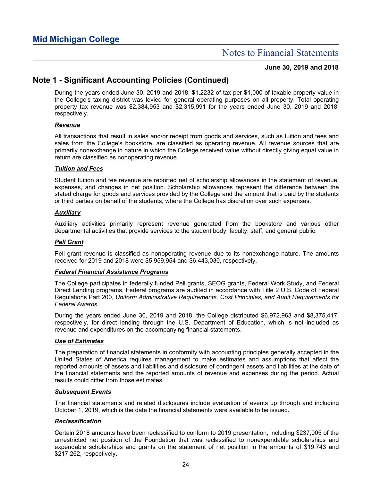#### **June 30, 2019 and 2018**

### **Note 1 - Significant Accounting Policies (Continued)**

During the years ended June 30, 2019 and 2018, \$1.2232 of tax per \$1,000 of taxable property value in the College's taxing district was levied for general operating purposes on all property. Total operating property tax revenue was \$2,384,953 and \$2,315,991 for the years ended June 30, 2019 and 2018, respectively.

#### *Revenue*

All transactions that result in sales and/or receipt from goods and services, such as tuition and fees and sales from the College's bookstore, are classified as operating revenue. All revenue sources that are primarily nonexchange in nature in which the College received value without directly giving equal value in return are classified as nonoperating revenue.

#### *Tuition and Fees*

Student tuition and fee revenue are reported net of scholarship allowances in the statement of revenue, expenses, and changes in net position. Scholarship allowances represent the difference between the stated charge for goods and services provided by the College and the amount that is paid by the students or third parties on behalf of the students, where the College has discretion over such expenses.

#### *Auxiliary*

Auxiliary activities primarily represent revenue generated from the bookstore and various other departmental activities that provide services to the student body, faculty, staff, and general public.

#### *Pell Grant*

Pell grant revenue is classified as nonoperating revenue due to its nonexchange nature. The amounts received for 2019 and 2018 were \$5,959,954 and \$6,443,030, respectively.

#### *Federal Financial Assistance Programs*

The College participates in federally funded Pell grants, SEOG grants, Federal Work Study, and Federal Direct Lending programs. Federal programs are audited in accordance with Title 2 U.S. Code of Federal Regulations Part 200, *Uniform Administrative Requirements, Cost Principles, and Audit Requirements for Federal Awards*.

During the years ended June 30, 2019 and 2018, the College distributed \$6,972,963 and \$8,375,417, respectively, for direct lending through the U.S. Department of Education, which is not included as revenue and expenditures on the accompanying financial statements.

#### *Use of Estimates*

The preparation of financial statements in conformity with accounting principles generally accepted in the United States of America requires management to make estimates and assumptions that affect the reported amounts of assets and liabilities and disclosure of contingent assets and liabilities at the date of the financial statements and the reported amounts of revenue and expenses during the period. Actual results could differ from those estimates.

#### *Subsequent Events*

The financial statements and related disclosures include evaluation of events up through and including October 1, 2019, which is the date the financial statements were available to be issued.

#### *Reclassification*

Certain 2018 amounts have been reclassified to conform to 2019 presentation, including \$237,005 of the unrestricted net position of the Foundation that was reclassified to nonexpendable scholarships and expendable scholarships and grants on the statement of net position in the amounts of \$19,743 and \$217,262, respectively.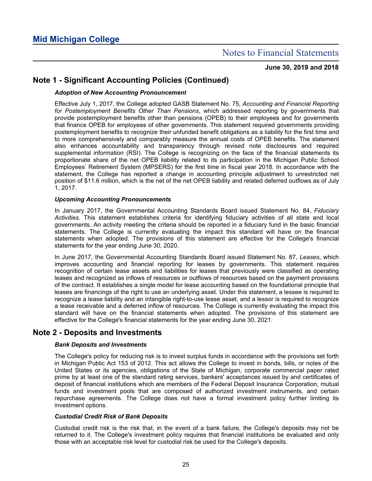#### **June 30, 2019 and 2018**

### **Note 1 - Significant Accounting Policies (Continued)**

#### *Adoption of New Accounting Pronouncement*

Effective July 1, 2017, the College adopted GASB Statement No. 75, *Accounting and Financial Reporting for Postemployment Benefits Other Than Pensions*, which addressed reporting by governments that provide postemployment benefits other than pensions (OPEB) to their employees and for governments that finance OPEB for employees of other governments. This statement required governments providing postemployment benefits to recognize their unfunded benefit obligations as a liability for the first time and to more comprehensively and comparably measure the annual costs of OPEB benefits. The statement also enhances accountability and transparency through revised note disclosures and required supplemental information (RSI). The College is recognizing on the face of the financial statements its proportionate share of the net OPEB liability related to its participation in the Michigan Public School Employees' Retirement System (MPSERS) for the first time in fiscal year 2018. In accordance with the statement, the College has reported a change in accounting principle adjustment to unrestricted net position of \$11.6 million, which is the net of the net OPEB liability and related deferred outflows as of July 1, 2017.

#### *Upcoming Accounting Pronouncements*

In January 2017, the Governmental Accounting Standards Board issued Statement No. 84, *Fiduciary Activities*. This statement establishes criteria for identifying fiduciary activities of all state and local governments. An activity meeting the criteria should be reported in a fiduciary fund in the basic financial statements. The College is currently evaluating the impact this standard will have on the financial statements when adopted. The provisions of this statement are effective for the College's financial statements for the year ending June 30, 2020.

In June 2017, the Governmental Accounting Standards Board issued Statement No. 87, *Leases*, which improves accounting and financial reporting for leases by governments. This statement requires recognition of certain lease assets and liabilities for leases that previously were classified as operating leases and recognized as inflows of resources or outflows of resources based on the payment provisions of the contract. It establishes a single model for lease accounting based on the foundational principle that leases are financings of the right to use an underlying asset. Under this statement, a lessee is required to recognize a lease liability and an intangible right-to-use lease asset, and a lessor is required to recognize a lease receivable and a deferred inflow of resources. The College is currently evaluating the impact this standard will have on the financial statements when adopted. The provisions of this statement are effective for the College's financial statements for the year ending June 30, 2021.

### **Note 2 - Deposits and Investments**

#### *Bank Deposits and Investments*

The College's policy for reducing risk is to invest surplus funds in accordance with the provisions set forth in Michigan Public Act 153 of 2012. This act allows the College to invest in bonds, bills, or notes of the United States or its agencies, obligations of the State of Michigan, corporate commercial paper rated prime by at least one of the standard rating services, bankers' acceptances issued by and certificates of deposit of financial institutions which are members of the Federal Deposit Insurance Corporation, mutual funds and investment pools that are composed of authorized investment instruments, and certain repurchase agreements. The College does not have a formal investment policy further limiting its investment options.

#### *Custodial Credit Risk of Bank Deposits*

Custodial credit risk is the risk that, in the event of a bank failure, the College's deposits may not be returned to it. The College's investment policy requires that financial institutions be evaluated and only those with an acceptable risk level for custodial risk be used for the College's deposits.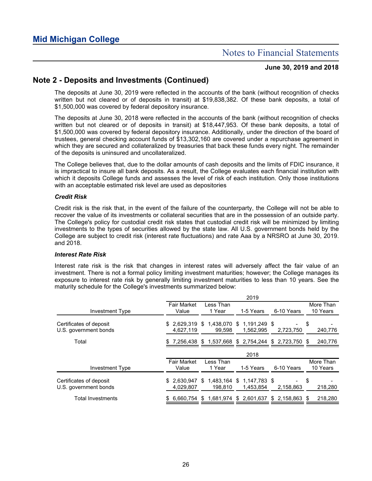#### **June 30, 2019 and 2018**

### **Note 2 - Deposits and Investments (Continued)**

The deposits at June 30, 2019 were reflected in the accounts of the bank (without recognition of checks written but not cleared or of deposits in transit) at \$19,838,382. Of these bank deposits, a total of \$1,500,000 was covered by federal depository insurance.

The deposits at June 30, 2018 were reflected in the accounts of the bank (without recognition of checks written but not cleared or of deposits in transit) at \$18,447,953. Of these bank deposits, a total of \$1,500,000 was covered by federal depository insurance. Additionally, under the direction of the board of trustees, general checking account funds of \$13,302,160 are covered under a repurchase agreement in which they are secured and collateralized by treasuries that back these funds every night. The remainder of the deposits is uninsured and uncollateralized.

The College believes that, due to the dollar amounts of cash deposits and the limits of FDIC insurance, it is impractical to insure all bank deposits. As a result, the College evaluates each financial institution with which it deposits College funds and assesses the level of risk of each institution. Only those institutions with an acceptable estimated risk level are used as depositories

#### *Credit Risk*

Credit risk is the risk that, in the event of the failure of the counterparty, the College will not be able to recover the value of its investments or collateral securities that are in the possession of an outside party. The College's policy for custodial credit risk states that custodial credit risk will be minimized by limiting investments to the types of securities allowed by the state law. All U.S. government bonds held by the College are subject to credit risk (interest rate fluctuations) and rate Aaa by a NRSRO at June 30, 2019. and 2018.

#### *Interest Rate Risk*

Interest rate risk is the risk that changes in interest rates will adversely affect the fair value of an investment. There is not a formal policy limiting investment maturities; however; the College manages its exposure to interest rate risk by generally limiting investment maturities to less than 10 years. See the maturity schedule for the College's investments summarized below:

|                                                  | 2019                          |                           |                                 |             |               |  |  |  |  |
|--------------------------------------------------|-------------------------------|---------------------------|---------------------------------|-------------|---------------|--|--|--|--|
|                                                  | <b>Fair Market</b>            | ∟ess Than                 |                                 |             | More Than     |  |  |  |  |
| Investment Type                                  | Value                         | 1 Year                    | 1-5 Years                       | 6-10 Years  | 10 Years      |  |  |  |  |
| Certificates of deposit<br>U.S. government bonds | $$2,629,319$ \$<br>4,627,119  | 1,438,070<br>99.598       | 1.191.249 \$<br>\$<br>1.562.995 | 2,723,750   | \$<br>240,776 |  |  |  |  |
| Total                                            | 7,256,438 \$                  | 1,537,668                 | \$2,754,244                     | \$2,723,750 | 240,776<br>S  |  |  |  |  |
|                                                  | 2018                          |                           |                                 |             |               |  |  |  |  |
|                                                  | <b>Fair Market</b>            | Less Than                 |                                 |             | More Than     |  |  |  |  |
| Investment Type                                  | Value                         | 1 Year                    | 1-5 Years                       | 6-10 Years  | 10 Years      |  |  |  |  |
| Certificates of deposit<br>U.S. government bonds | 2,630,947<br>\$.<br>4,029,807 | 1,483,164<br>S<br>198.810 | 1,147,783 \$<br>S.<br>1.453.854 | 2,158,863   | \$<br>218,280 |  |  |  |  |
|                                                  |                               |                           |                                 |             |               |  |  |  |  |
|                                                  |                               |                           |                                 |             |               |  |  |  |  |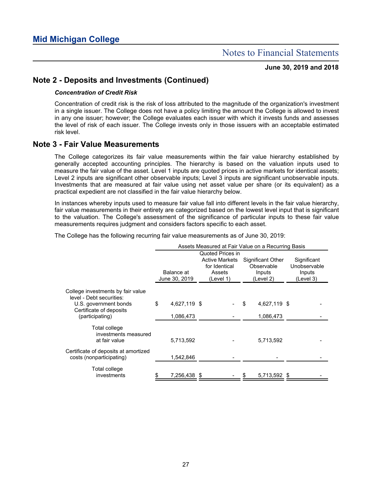**June 30, 2019 and 2018**

### **Note 2 - Deposits and Investments (Continued)**

#### *Concentration of Credit Risk*

Concentration of credit risk is the risk of loss attributed to the magnitude of the organization's investment in a single issuer. The College does not have a policy limiting the amount the College is allowed to invest in any one issuer; however; the College evaluates each issuer with which it invests funds and assesses the level of risk of each issuer. The College invests only in those issuers with an acceptable estimated risk level.

### **Note 3 - Fair Value Measurements**

The College categorizes its fair value measurements within the fair value hierarchy established by generally accepted accounting principles. The hierarchy is based on the valuation inputs used to measure the fair value of the asset. Level 1 inputs are quoted prices in active markets for identical assets; Level 2 inputs are significant other observable inputs; Level 3 inputs are significant unobservable inputs. Investments that are measured at fair value using net asset value per share (or its equivalent) as a practical expedient are not classified in the fair value hierarchy below.

In instances whereby inputs used to measure fair value fall into different levels in the fair value hierarchy, fair value measurements in their entirety are categorized based on the lowest level input that is significant to the valuation. The College's assessment of the significance of particular inputs to these fair value measurements requires judgment and considers factors specific to each asset.

The College has the following recurring fair value measurements as of June 30, 2019:

|                                                                  | Assets Measured at Fair Value on a Recurring Basis |               |  |                       |    |                     |  |              |  |
|------------------------------------------------------------------|----------------------------------------------------|---------------|--|-----------------------|----|---------------------|--|--------------|--|
|                                                                  |                                                    |               |  | Quoted Prices in      |    |                     |  |              |  |
|                                                                  |                                                    |               |  | <b>Active Markets</b> |    | Significant Other   |  | Significant  |  |
|                                                                  |                                                    |               |  | for Identical         |    | Observable          |  | Unobservable |  |
|                                                                  |                                                    | Balance at    |  | Assets                |    | Inputs<br>(Level 2) |  | Inputs       |  |
|                                                                  |                                                    | June 30, 2019 |  | (Level 1)             |    |                     |  | (Level 3)    |  |
| College investments by fair value<br>level - Debt securities:    |                                                    |               |  |                       |    |                     |  |              |  |
| U.S. government bonds<br>Certificate of deposits                 | \$                                                 | 4,627,119 \$  |  |                       | \$ | 4,627,119 \$        |  |              |  |
| (participating)                                                  |                                                    | 1,086,473     |  |                       |    | 1,086,473           |  |              |  |
| Total college<br>investments measured<br>at fair value           |                                                    | 5,713,592     |  |                       |    | 5,713,592           |  |              |  |
| Certificate of deposits at amortized<br>costs (nonparticipating) |                                                    | 1,542,846     |  |                       |    |                     |  |              |  |
|                                                                  |                                                    |               |  |                       |    |                     |  |              |  |
| Total college<br>investments                                     | \$                                                 | 7,256,438 \$  |  |                       | \$ | 5,713,592 \$        |  |              |  |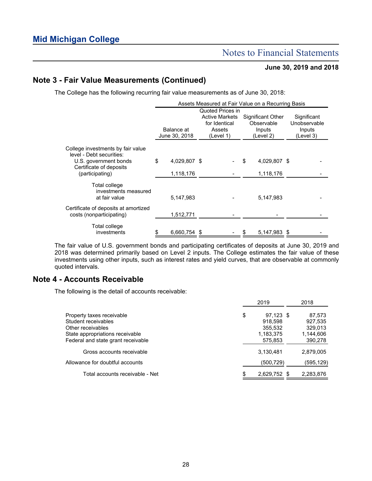#### **June 30, 2019 and 2018**

### **Note 3 - Fair Value Measurements (Continued)**

The College has the following recurring fair value measurements as of June 30, 2018:

|                                                               | Assets Measured at Fair Value on a Recurring Basis |               |     |                       |    |                   |  |              |  |
|---------------------------------------------------------------|----------------------------------------------------|---------------|-----|-----------------------|----|-------------------|--|--------------|--|
|                                                               |                                                    |               |     | Quoted Prices in      |    |                   |  |              |  |
|                                                               |                                                    |               |     | <b>Active Markets</b> |    | Significant Other |  | Significant  |  |
|                                                               |                                                    |               |     | for Identical         |    | Observable        |  | Unobservable |  |
|                                                               |                                                    | Balance at    |     | Assets                |    | Inputs            |  | Inputs       |  |
|                                                               |                                                    | June 30, 2018 |     | (Level 1)             |    | (Level 2)         |  | (Level 3)    |  |
|                                                               |                                                    |               |     |                       |    |                   |  |              |  |
| College investments by fair value<br>level - Debt securities: |                                                    |               |     |                       |    |                   |  |              |  |
| U.S. government bonds<br>Certificate of deposits              | \$                                                 | 4,029,807 \$  |     |                       | \$ | 4,029,807 \$      |  |              |  |
| (participating)                                               |                                                    | 1,118,176     |     |                       |    | 1,118,176         |  |              |  |
| Total college<br>investments measured                         |                                                    |               |     |                       |    |                   |  |              |  |
| at fair value                                                 |                                                    | 5,147,983     |     |                       |    | 5,147,983         |  |              |  |
| Certificate of deposits at amortized                          |                                                    |               |     |                       |    |                   |  |              |  |
| costs (nonparticipating)                                      |                                                    | 1,512,771     |     |                       |    |                   |  |              |  |
| Total college                                                 |                                                    |               |     |                       |    |                   |  |              |  |
| investments                                                   | \$                                                 | 6,660,754     | - 5 |                       | \$ | 5,147,983 \$      |  |              |  |

The fair value of U.S. government bonds and participating certificates of deposits at June 30, 2019 and 2018 was determined primarily based on Level 2 inputs. The College estimates the fair value of these investments using other inputs, such as interest rates and yield curves, that are observable at commonly quoted intervals.

### **Note 4 - Accounts Receivable**

The following is the detail of accounts receivable:

|                                    | 2019              | 2018      |
|------------------------------------|-------------------|-----------|
| Property taxes receivable          | \$<br>$97.123$ \$ | 87,573    |
| Student receivables                | 918.598           | 927,535   |
| Other receivables                  | 355,532           | 329.013   |
| State appropriations receivable    | 1,183,375         | 1,144,606 |
| Federal and state grant receivable | 575.853           | 390,278   |
| Gross accounts receivable          | 3,130,481         | 2,879,005 |
| Allowance for doubtful accounts    | (500,729)         | (595,129) |
| Total accounts receivable - Net    | 2,629,752         | 2,283,876 |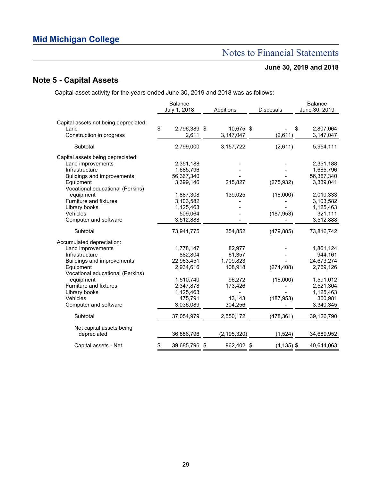## Notes to Financial Statements

### **June 30, 2019 and 2018**

## **Note 5 - Capital Assets**

Capital asset activity for the years ended June 30, 2019 and 2018 was as follows:

|                                       | <b>Balance</b>     |               |                     | <b>Balance</b>  |
|---------------------------------------|--------------------|---------------|---------------------|-----------------|
|                                       | July 1, 2018       | Additions     | <b>Disposals</b>    | June 30, 2019   |
| Capital assets not being depreciated: |                    |               |                     |                 |
| Land                                  | \$<br>2,796,389 \$ | 10,675 \$     |                     | \$<br>2.807.064 |
| Construction in progress              | 2,611              | 3,147,047     | (2,611)             | 3,147,047       |
| Subtotal                              | 2,799,000          | 3,157,722     | (2,611)             | 5,954,111       |
| Capital assets being depreciated:     |                    |               |                     |                 |
| Land improvements                     | 2,351,188          |               |                     | 2,351,188       |
| Infrastructure                        | 1,685,796          |               |                     | 1,685,796       |
| Buildings and improvements            | 56,367,340         |               |                     | 56,367,340      |
| Equipment                             | 3,399,146          | 215,827       | (275, 932)          | 3,339,041       |
| Vocational educational (Perkins)      |                    |               |                     |                 |
| equipment                             | 1,887,308          | 139,025       | (16,000)            | 2,010,333       |
| <b>Furniture and fixtures</b>         | 3,103,582          |               |                     | 3,103,582       |
| Library books                         | 1,125,463          |               |                     | 1,125,463       |
| Vehicles                              | 509,064            |               | (187, 953)          | 321,111         |
| Computer and software                 | 3,512,888          |               |                     | 3,512,888       |
| Subtotal                              | 73,941,775         | 354,852       | (479, 885)          | 73,816,742      |
| Accumulated depreciation:             |                    |               |                     |                 |
| Land improvements                     | 1,778,147          | 82,977        |                     | 1,861,124       |
| Infrastructure                        | 882,804            | 61,357        |                     | 944,161         |
| <b>Buildings and improvements</b>     | 22,963,451         | 1,709,823     |                     | 24,673,274      |
| Equipment                             | 2,934,616          | 108,918       | (274, 408)          | 2,769,126       |
| Vocational educational (Perkins)      |                    |               |                     |                 |
| equipment                             | 1,510,740          | 96,272        | (16,000)            | 1,591,012       |
| Furniture and fixtures                | 2,347,878          | 173,426       |                     | 2,521,304       |
| Library books                         | 1,125,463          |               |                     | 1,125,463       |
| Vehicles                              | 475,791            | 13,143        | (187, 953)          | 300,981         |
| Computer and software                 | 3,036,089          | 304,256       |                     | 3,340,345       |
| Subtotal                              | 37,054,979         | 2,550,172     | (478, 361)          | 39,126,790      |
| Net capital assets being              |                    |               |                     |                 |
| depreciated                           | 36,886,796         | (2, 195, 320) | (1,524)             | 34,689,952      |
| Capital assets - Net                  | \$<br>39,685,796   | \$<br>962,402 | \$<br>$(4, 135)$ \$ | 40,644,063      |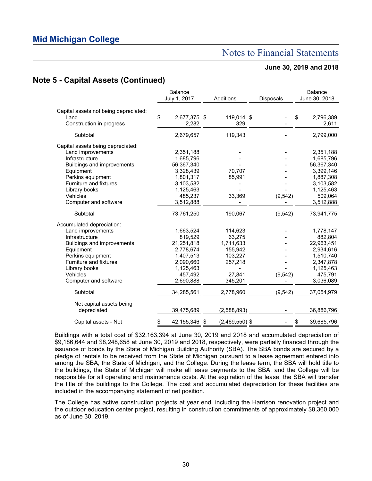#### **June 30, 2019 and 2018**

### **Note 5 - Capital Assets (Continued)**

|                                       | <b>Balance</b>     |                        |           | <b>Balance</b>   |
|---------------------------------------|--------------------|------------------------|-----------|------------------|
|                                       | July 1, 2017       | Additions              | Disposals | June 30, 2018    |
|                                       |                    |                        |           |                  |
| Capital assets not being depreciated: |                    |                        |           |                  |
| Land                                  | \$<br>2,677,375 \$ | 119,014 \$             |           | \$<br>2,796,389  |
| Construction in progress              | 2,282              | 329                    |           | 2,611            |
| Subtotal                              | 2,679,657          | 119,343                |           | 2,799,000        |
| Capital assets being depreciated:     |                    |                        |           |                  |
| Land improvements                     | 2,351,188          |                        |           | 2,351,188        |
| Infrastructure                        | 1,685,796          |                        |           | 1,685,796        |
| Buildings and improvements            | 56,367,340         |                        |           | 56,367,340       |
| Equipment                             | 3,328,439          | 70,707                 |           | 3,399,146        |
| Perkins equipment                     | 1,801,317          | 85,991                 |           | 1,887,308        |
| <b>Furniture and fixtures</b>         | 3,103,582          |                        |           | 3,103,582        |
| Library books                         | 1,125,463          |                        |           | 1,125,463        |
| Vehicles                              | 485,237            | 33,369                 | (9, 542)  | 509,064          |
| Computer and software                 | 3,512,888          |                        |           | 3,512,888        |
| Subtotal                              | 73,761,250         | 190,067                | (9, 542)  | 73,941,775       |
| Accumulated depreciation:             |                    |                        |           |                  |
| Land improvements                     | 1,663,524          | 114,623                |           | 1,778,147        |
| Infrastructure                        | 819,529            | 63,275                 |           | 882,804          |
| <b>Buildings and improvements</b>     | 21,251,818         | 1,711,633              |           | 22,963,451       |
| Equipment                             | 2,778,674          | 155,942                |           | 2,934,616        |
| Perkins equipment                     | 1,407,513          | 103,227                |           | 1,510,740        |
| Furniture and fixtures                | 2,090,660          | 257,218                |           | 2,347,878        |
| Library books                         | 1,125,463          |                        |           | 1,125,463        |
| Vehicles                              | 457,492            | 27,841                 | (9, 542)  | 475,791          |
| Computer and software                 | 2,690,888          | 345,201                |           | 3,036,089        |
| Subtotal                              | 34,285,561         | 2,778,960              | (9, 542)  | 37,054,979       |
| Net capital assets being              |                    |                        |           |                  |
| depreciated                           | 39,475,689         | (2,588,893)            |           | 36,886,796       |
| Capital assets - Net                  | \$<br>42,155,346   | \$<br>$(2,469,550)$ \$ |           | \$<br>39,685,796 |
|                                       |                    |                        |           |                  |

Buildings with a total cost of \$32,163,394 at June 30, 2019 and 2018 and accumulated depreciation of \$9,186,644 and \$8,248,658 at June 30, 2019 and 2018, respectively, were partially financed through the issuance of bonds by the State of Michigan Building Authority (SBA). The SBA bonds are secured by a pledge of rentals to be received from the State of Michigan pursuant to a lease agreement entered into among the SBA, the State of Michigan, and the College. During the lease term, the SBA will hold title to the buildings, the State of Michigan will make all lease payments to the SBA, and the College will be responsible for all operating and maintenance costs. At the expiration of the lease, the SBA will transfer the title of the buildings to the College. The cost and accumulated depreciation for these facilities are included in the accompanying statement of net position.

The College has active construction projects at year end, including the Harrison renovation project and the outdoor education center project, resulting in construction commitments of approximately \$8,360,000 as of June 30, 2019.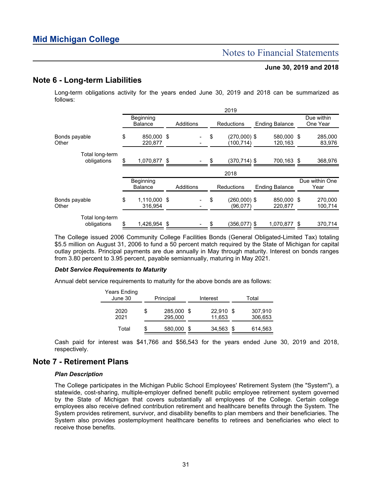#### **June 30, 2019 and 2018**

### **Note 6 - Long-term Liabilities**

Long-term obligations activity for the years ended June 30, 2019 and 2018 can be summarized as follows:

|                                |                               |  |           |    | 2019                       |                       |  |                        |  |
|--------------------------------|-------------------------------|--|-----------|----|----------------------------|-----------------------|--|------------------------|--|
|                                | Beginning<br><b>Balance</b>   |  | Additions |    | <b>Reductions</b>          | <b>Ending Balance</b> |  | Due within<br>One Year |  |
| Bonds payable<br>Other         | \$<br>850,000 \$<br>220,877   |  |           | \$ | (270,000) \$<br>(100, 714) | 580,000 \$<br>120,163 |  | 285,000<br>83,976      |  |
| Total long-term<br>obligations | \$<br>1,070,877 \$            |  |           | \$ | (370,714) \$               | 700,163 \$            |  | 368,976                |  |
|                                | 2018                          |  |           |    |                            |                       |  |                        |  |
|                                | Beginning<br>Balance          |  | Additions |    | <b>Reductions</b>          | <b>Ending Balance</b> |  | Due within One<br>Year |  |
| Bonds payable<br>Other         | \$<br>1,110,000 \$<br>316,954 |  |           | \$ | $(260,000)$ \$<br>(96,077) | 850,000 \$<br>220,877 |  | 270,000<br>100,714     |  |
| Total long-term<br>obligations | \$<br>1,426,954 \$            |  |           | \$ | (356,077) \$               | 1,070,877 \$          |  | 370,714                |  |

The College issued 2006 Community College Facilities Bonds (General Obligated-Limited Tax) totaling \$5.5 million on August 31, 2006 to fund a 50 percent match required by the State of Michigan for capital outlay projects. Principal payments are due annually in May through maturity. Interest on bonds ranges from 3.80 percent to 3.95 percent, payable semiannually, maturing in May 2021.

#### *Debt Service Requirements to Maturity*

Annual debt service requirements to maturity for the above bonds are as follows:

| Years Ending<br>June 30 |    | Principal          |      | Interest         |      | Total              |  |  |  |
|-------------------------|----|--------------------|------|------------------|------|--------------------|--|--|--|
| 2020<br>2021            | \$ | 285,000<br>295,000 | - \$ | 22.910<br>11,653 | - \$ | 307,910<br>306,653 |  |  |  |
| Total                   | S. | 580,000            |      | 34.563           | \$.  | 614,563            |  |  |  |

Cash paid for interest was \$41,766 and \$56,543 for the years ended June 30, 2019 and 2018, respectively.

#### **Note 7 - Retirement Plans**

#### *Plan Description*

The College participates in the Michigan Public School Employees' Retirement System (the "System"), a statewide, cost-sharing, multiple-employer defined benefit public employee retirement system governed by the State of Michigan that covers substantially all employees of the College. Certain college employees also receive defined contribution retirement and healthcare benefits through the System. The System provides retirement, survivor, and disability benefits to plan members and their beneficiaries. The System also provides postemployment healthcare benefits to retirees and beneficiaries who elect to receive those benefits.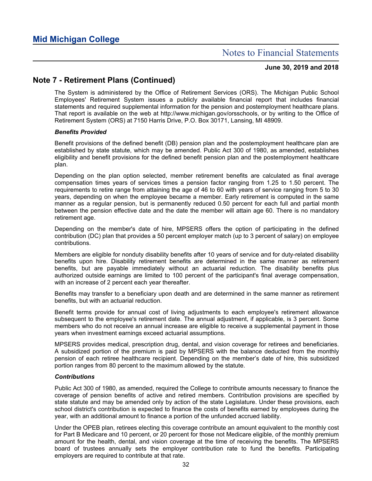#### **June 30, 2019 and 2018**

### **Note 7 - Retirement Plans (Continued)**

The System is administered by the Office of Retirement Services (ORS). The Michigan Public School Employees' Retirement System issues a publicly available financial report that includes financial statements and required supplemental information for the pension and postemployment healthcare plans. That report is available on the web at http://www.michigan.gov/orsschools, or by writing to the Office of Retirement System (ORS) at 7150 Harris Drive, P.O. Box 30171, Lansing, MI 48909.

#### *Benefits Provided*

Benefit provisions of the defined benefit (DB) pension plan and the postemployment healthcare plan are established by state statute, which may be amended. Public Act 300 of 1980, as amended, establishes eligibility and benefit provisions for the defined benefit pension plan and the postemployment healthcare plan.

Depending on the plan option selected, member retirement benefits are calculated as final average compensation times years of services times a pension factor ranging from 1.25 to 1.50 percent. The requirements to retire range from attaining the age of 46 to 60 with years of service ranging from 5 to 30 years, depending on when the employee became a member. Early retirement is computed in the same manner as a regular pension, but is permanently reduced 0.50 percent for each full and partial month between the pension effective date and the date the member will attain age 60. There is no mandatory retirement age.

Depending on the member's date of hire, MPSERS offers the option of participating in the defined contribution (DC) plan that provides a 50 percent employer match (up to 3 percent of salary) on employee contributions.

Members are eligible for nonduty disability benefits after 10 years of service and for duty-related disability benefits upon hire. Disability retirement benefits are determined in the same manner as retirement benefits, but are payable immediately without an actuarial reduction. The disability benefits plus authorized outside earnings are limited to 100 percent of the participant's final average compensation, with an increase of 2 percent each year thereafter.

Benefits may transfer to a beneficiary upon death and are determined in the same manner as retirement benefits, but with an actuarial reduction.

Benefit terms provide for annual cost of living adjustments to each employee's retirement allowance subsequent to the employee's retirement date. The annual adjustment, if applicable, is 3 percent. Some members who do not receive an annual increase are eligible to receive a supplemental payment in those years when investment earnings exceed actuarial assumptions.

MPSERS provides medical, prescription drug, dental, and vision coverage for retirees and beneficiaries. A subsidized portion of the premium is paid by MPSERS with the balance deducted from the monthly pension of each retiree healthcare recipient. Depending on the member's date of hire, this subsidized portion ranges from 80 percent to the maximum allowed by the statute.

#### *Contributions*

Public Act 300 of 1980, as amended, required the College to contribute amounts necessary to finance the coverage of pension benefits of active and retired members. Contribution provisions are specified by state statute and may be amended only by action of the state Legislature. Under these provisions, each school district's contribution is expected to finance the costs of benefits earned by employees during the year, with an additional amount to finance a portion of the unfunded accrued liability.

Under the OPEB plan, retirees electing this coverage contribute an amount equivalent to the monthly cost for Part B Medicare and 10 percent, or 20 percent for those not Medicare eligible, of the monthly premium amount for the health, dental, and vision coverage at the time of receiving the benefits. The MPSERS board of trustees annually sets the employer contribution rate to fund the benefits. Participating employers are required to contribute at that rate.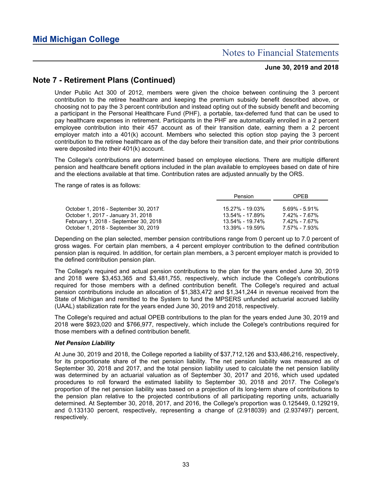#### **June 30, 2019 and 2018**

#### **Note 7 - Retirement Plans (Continued)**

Under Public Act 300 of 2012, members were given the choice between continuing the 3 percent contribution to the retiree healthcare and keeping the premium subsidy benefit described above, or choosing not to pay the 3 percent contribution and instead opting out of the subsidy benefit and becoming a participant in the Personal Healthcare Fund (PHF), a portable, tax-deferred fund that can be used to pay healthcare expenses in retirement. Participants in the PHF are automatically enrolled in a 2 percent employee contribution into their 457 account as of their transition date, earning them a 2 percent employer match into a 401(k) account. Members who selected this option stop paying the 3 percent contribution to the retiree healthcare as of the day before their transition date, and their prior contributions were deposited into their 401(k) account.

The College's contributions are determined based on employee elections. There are multiple different pension and healthcare benefit options included in the plan available to employees based on date of hire and the elections available at that time. Contribution rates are adjusted annually by the ORS.

The range of rates is as follows:

|                                       | Pension         | OPFB              |
|---------------------------------------|-----------------|-------------------|
|                                       |                 |                   |
| October 1, 2016 - September 30, 2017  | 15.27% - 19.03% | $5.69\% - 5.91\%$ |
| October 1, 2017 - January 31, 2018    | 13.54% - 17.89% | 7.42% - 7.67%     |
| February 1, 2018 - September 30, 2018 | 13.54% - 19.74% | 7.42% - 7.67%     |
| October 1, 2018 - September 30, 2019  | 13.39% - 19.59% | 7.57% - 7.93%     |

Depending on the plan selected, member pension contributions range from 0 percent up to 7.0 percent of gross wages. For certain plan members, a 4 percent employer contribution to the defined contribution pension plan is required. In addition, for certain plan members, a 3 percent employer match is provided to the defined contribution pension plan.

The College's required and actual pension contributions to the plan for the years ended June 30, 2019 and 2018 were \$3,453,365 and \$3,481,755, respectively, which include the College's contributions required for those members with a defined contribution benefit. The College's required and actual pension contributions include an allocation of \$1,383,472 and \$1,341,244 in revenue received from the State of Michigan and remitted to the System to fund the MPSERS unfunded actuarial accrued liability (UAAL) stabilization rate for the years ended June 30, 2019 and 2018, respectively.

The College's required and actual OPEB contributions to the plan for the years ended June 30, 2019 and 2018 were \$923,020 and \$766,977, respectively, which include the College's contributions required for those members with a defined contribution benefit.

#### *Net Pension Liability*

At June 30, 2019 and 2018, the College reported a liability of \$37,712,126 and \$33,486,216, respectively, for its proportionate share of the net pension liability. The net pension liability was measured as of September 30, 2018 and 2017, and the total pension liability used to calculate the net pension liability was determined by an actuarial valuation as of September 30, 2017 and 2016, which used updated procedures to roll forward the estimated liability to September 30, 2018 and 2017. The College's proportion of the net pension liability was based on a projection of its long-term share of contributions to the pension plan relative to the projected contributions of all participating reporting units, actuarially determined. At September 30, 2018, 2017, and 2016, the College's proportion was 0.125449, 0.129219, and 0.133130 percent, respectively, representing a change of (2.918039) and (2.937497) percent, respectively.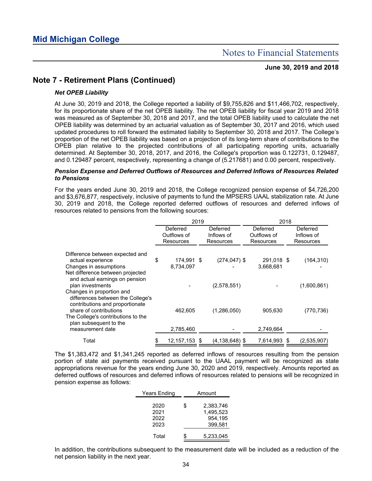#### **June 30, 2019 and 2018**

#### **Note 7 - Retirement Plans (Continued)**

#### *Net OPEB Liability*

At June 30, 2019 and 2018, the College reported a liability of \$9,755,826 and \$11,466,702, respectively, for its proportionate share of the net OPEB liability. The net OPEB liability for fiscal year 2019 and 2018 was measured as of September 30, 2018 and 2017, and the total OPEB liability used to calculate the net OPEB liability was determined by an actuarial valuation as of September 30, 2017 and 2016, which used updated procedures to roll forward the estimated liability to September 30, 2018 and 2017. The College's proportion of the net OPEB liability was based on a projection of its long-term share of contributions to the OPEB plan relative to the projected contributions of all participating reporting units, actuarially determined. At September 30, 2018, 2017, and 2016, the College's proportion was 0.122731, 0.129487, and 0.129487 percent, respectively, representing a change of (5.217681) and 0.00 percent, respectively.

#### *Pension Expense and Deferred Outflows of Resources and Deferred Inflows of Resources Related to Pensions*

For the years ended June 30, 2019 and 2018, the College recognized pension expense of \$4,726,200 and \$3,676,877, respectively, inclusive of payments to fund the MPSERS UAAL stabilization rate. At June 30, 2019 and 2018, the College reported deferred outflows of resources and deferred inflows of resources related to pensions from the following sources:

|                                                                                                                                      |                                      | 2019 |                                     | 2018                                 |  |                                     |  |
|--------------------------------------------------------------------------------------------------------------------------------------|--------------------------------------|------|-------------------------------------|--------------------------------------|--|-------------------------------------|--|
|                                                                                                                                      | Deferred<br>Outflows of<br>Resources |      | Deferred<br>Inflows of<br>Resources | Deferred<br>Outflows of<br>Resources |  | Deferred<br>Inflows of<br>Resources |  |
| Difference between expected and<br>actual experience<br>Changes in assumptions                                                       | \$<br>174,991 \$<br>8,734,097        |      | $(274, 047)$ \$                     | 291,018 \$<br>3,668,681              |  | (164, 310)                          |  |
| Net difference between projected<br>and actual earnings on pension<br>plan investments<br>Changes in proportion and                  |                                      |      | (2,578,551)                         |                                      |  | (1,600,861)                         |  |
| differences between the College's<br>contributions and proportionate<br>share of contributions<br>The College's contributions to the | 462,605                              |      | (1,286,050)                         | 905,630                              |  | (770, 736)                          |  |
| plan subsequent to the<br>measurement date                                                                                           | 2,785,460                            |      |                                     | 2,749,664                            |  |                                     |  |
| Total                                                                                                                                | \$<br>12,157,153 \$                  |      | (4,138,648) \$                      | 7,614,993 \$                         |  | (2,535,907)                         |  |

The \$1,383,472 and \$1,341,245 reported as deferred inflows of resources resulting from the pension portion of state aid payments received pursuant to the UAAL payment will be recognized as state appropriations revenue for the years ending June 30, 2020 and 2019, respectively. Amounts reported as deferred outflows of resources and deferred inflows of resources related to pensions will be recognized in pension expense as follows:

| <b>Years Ending</b>          |     | Amount                                       |
|------------------------------|-----|----------------------------------------------|
| 2020<br>2021<br>2022<br>2023 | \$  | 2,383,746<br>1,495,523<br>954,195<br>399.581 |
| Total                        | \$. | 5,233,045                                    |

In addition, the contributions subsequent to the measurement date will be included as a reduction of the net pension liability in the next year.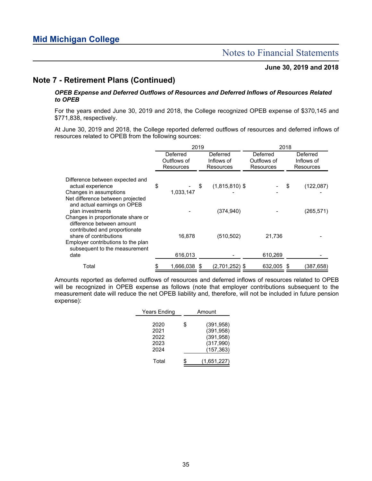#### **June 30, 2019 and 2018**

### **Note 7 - Retirement Plans (Continued)**

#### *OPEB Expense and Deferred Outflows of Resources and Deferred Inflows of Resources Related to OPEB*

For the years ended June 30, 2019 and 2018, the College recognized OPEB expense of \$370,145 and \$771,838, respectively.

At June 30, 2019 and 2018, the College reported deferred outflows of resources and deferred inflows of resources related to OPEB from the following sources:

|                                                                                                                                                   |                                      | 2019 |                                     | 2018                                 |    |                                     |  |  |
|---------------------------------------------------------------------------------------------------------------------------------------------------|--------------------------------------|------|-------------------------------------|--------------------------------------|----|-------------------------------------|--|--|
|                                                                                                                                                   | Deferred<br>Outflows of<br>Resources |      | Deferred<br>Inflows of<br>Resources | Deferred<br>Outflows of<br>Resources |    | Deferred<br>Inflows of<br>Resources |  |  |
| Difference between expected and<br>actual experience<br>Changes in assumptions<br>Net difference between projected<br>and actual earnings on OPEB | \$<br>1,033,147                      | \$   | $(1,815,810)$ \$                    |                                      | \$ | (122,087)                           |  |  |
| plan investments<br>Changes in proportionate share or<br>difference between amount<br>contributed and proportionate                               |                                      |      | (374, 940)                          |                                      |    | (265, 571)                          |  |  |
| share of contributions<br>Employer contributions to the plan<br>subsequent to the measurement                                                     | 16,878                               |      | (510, 502)                          | 21,736                               |    |                                     |  |  |
| date                                                                                                                                              | 616,013                              |      |                                     | 610,269                              |    |                                     |  |  |
| Total                                                                                                                                             | \$<br>1,666,038 \$                   |      | $(2,701,252)$ \$                    | 632,005                              |    | (387,658)                           |  |  |

Amounts reported as deferred outflows of resources and deferred inflows of resources related to OPEB will be recognized in OPEB expense as follows (note that employer contributions subsequent to the measurement date will reduce the net OPEB liability and, therefore, will not be included in future pension expense):

| Years Ending                         | Amount                                                                  |
|--------------------------------------|-------------------------------------------------------------------------|
| 2020<br>2021<br>2022<br>2023<br>2024 | \$<br>(391, 958)<br>(391, 958)<br>(391, 958)<br>(317,990)<br>(157, 363) |
| Total                                | (1,651,227)                                                             |

Ĭ.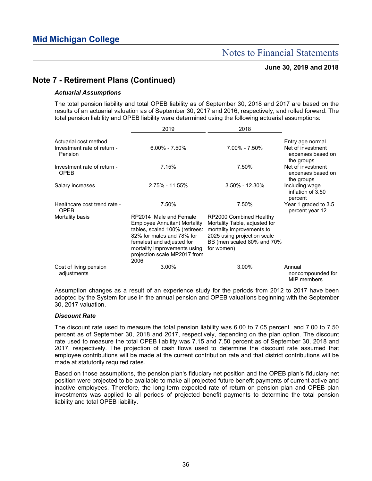#### **June 30, 2019 and 2018**

### **Note 7 - Retirement Plans (Continued)**

#### *Actuarial Assumptions*

The total pension liability and total OPEB liability as of September 30, 2018 and 2017 are based on the results of an actuarial valuation as of September 30, 2017 and 2016, respectively, and rolled forward. The total pension liability and OPEB liability were determined using the following actuarial assumptions:

|                                                                 | 2019                                                                                                                                                                                                                              | 2018                                                                                                                                                             |                                                                          |
|-----------------------------------------------------------------|-----------------------------------------------------------------------------------------------------------------------------------------------------------------------------------------------------------------------------------|------------------------------------------------------------------------------------------------------------------------------------------------------------------|--------------------------------------------------------------------------|
| Actuarial cost method<br>Investment rate of return -<br>Pension | $6.00\% - 7.50\%$                                                                                                                                                                                                                 | 7.00% - 7.50%                                                                                                                                                    | Entry age normal<br>Net of investment<br>expenses based on<br>the groups |
| Investment rate of return -<br><b>OPEB</b>                      | 7.15%                                                                                                                                                                                                                             | 7.50%                                                                                                                                                            | Net of investment<br>expenses based on<br>the groups                     |
| Salary increases                                                | $2.75\% - 11.55\%$                                                                                                                                                                                                                | $3.50\% - 12.30\%$                                                                                                                                               | Including wage<br>inflation of 3.50<br>percent                           |
| Healthcare cost trend rate -<br><b>OPEB</b>                     | 7.50%                                                                                                                                                                                                                             | 7.50%                                                                                                                                                            | Year 1 graded to 3.5<br>percent year 12                                  |
| Mortality basis                                                 | RP2014 Male and Female<br><b>Employee Annuitant Mortality</b><br>tables, scaled 100% (retirees:<br>82% for males and 78% for<br>females) and adjusted for<br>mortality improvements using<br>projection scale MP2017 from<br>2006 | RP2000 Combined Healthy<br>Mortality Table, adjusted for<br>mortality improvements to<br>2025 using projection scale<br>BB (men scaled 80% and 70%<br>for women) |                                                                          |
| Cost of living pension<br>adjustments                           | 3.00%                                                                                                                                                                                                                             | 3.00%                                                                                                                                                            | Annual<br>noncompounded for<br>MIP members                               |

Assumption changes as a result of an experience study for the periods from 2012 to 2017 have been adopted by the System for use in the annual pension and OPEB valuations beginning with the September 30, 2017 valuation.

#### *Discount Rate*

The discount rate used to measure the total pension liability was 6.00 to 7.05 percent and 7.00 to 7.50 percent as of September 30, 2018 and 2017, respectively, depending on the plan option. The discount rate used to measure the total OPEB liability was 7.15 and 7.50 percent as of September 30, 2018 and 2017, respectively. The projection of cash flows used to determine the discount rate assumed that employee contributions will be made at the current contribution rate and that district contributions will be made at statutorily required rates.

Based on those assumptions, the pension plan's fiduciary net position and the OPEB plan's fiduciary net position were projected to be available to make all projected future benefit payments of current active and inactive employees. Therefore, the long-term expected rate of return on pension plan and OPEB plan investments was applied to all periods of projected benefit payments to determine the total pension liability and total OPEB liability.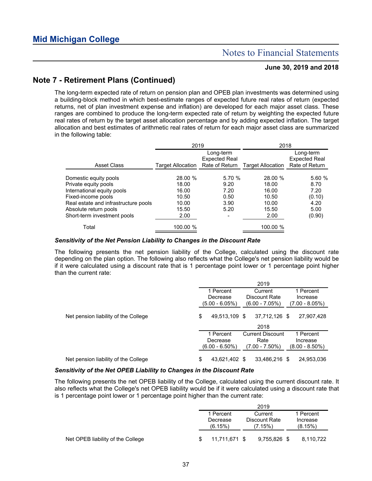#### **June 30, 2019 and 2018**

### **Note 7 - Retirement Plans (Continued)**

The long-term expected rate of return on pension plan and OPEB plan investments was determined using a building-block method in which best-estimate ranges of expected future real rates of return (expected returns, net of plan investment expense and inflation) are developed for each major asset class. These ranges are combined to produce the long-term expected rate of return by weighting the expected future real rates of return by the target asset allocation percentage and by adding expected inflation. The target allocation and best estimates of arithmetic real rates of return for each major asset class are summarized in the following table:

|                                      | 2019     |                                   | 2018                                               |                                                     |
|--------------------------------------|----------|-----------------------------------|----------------------------------------------------|-----------------------------------------------------|
| <b>Asset Class</b>                   |          | Long-term<br><b>Expected Real</b> | Target Allocation Rate of Return Target Allocation | Long-term<br><b>Expected Real</b><br>Rate of Return |
| Domestic equity pools                | 28.00 %  | 5.70 %                            | 28.00 %                                            | 5.60 %                                              |
| Private equity pools                 | 18.00    | 9.20                              | 18.00                                              | 8.70                                                |
| International equity pools           | 16.00    | 7.20                              | 16.00                                              | 7.20                                                |
| Fixed-income pools                   | 10.50    | 0.50                              | 10.50                                              | (0.10)                                              |
| Real estate and infrastructure pools | 10.00    | 3.90                              | 10.00                                              | 4.20                                                |
| Absolute return pools                | 15.50    | 5.20                              | 15.50                                              | 5.00                                                |
| Short-term investment pools          | 2.00     |                                   | 2.00                                               | (0.90)                                              |
| Total                                | 100.00 % |                                   | 100.00 %                                           |                                                     |

#### *Sensitivity of the Net Pension Liability to Changes in the Discount Rate*

The following presents the net pension liability of the College, calculated using the discount rate depending on the plan option. The following also reflects what the College's net pension liability would be if it were calculated using a discount rate that is 1 percentage point lower or 1 percentage point higher than the current rate:

|                                      | 2019                |                                      |  |  |  |  |
|--------------------------------------|---------------------|--------------------------------------|--|--|--|--|
|                                      | 1 Percent           | 1 Percent<br>Current                 |  |  |  |  |
|                                      | Decrease            | Discount Rate<br>Increase            |  |  |  |  |
|                                      | (5.00 - 6.05%)      | $(6.00 - 7.05%)$<br>(7.00 - 8.05%)   |  |  |  |  |
| Net pension liability of the College | \$<br>49.513.109 \$ | 37.712.126 \$<br>27,907,428          |  |  |  |  |
|                                      |                     |                                      |  |  |  |  |
|                                      |                     | 2018                                 |  |  |  |  |
|                                      | 1 Percent           | <b>Current Discount</b><br>1 Percent |  |  |  |  |
|                                      | Decrease            | Rate<br>Increase                     |  |  |  |  |
|                                      | $(6.00 - 6.50\%)$   | (7.00 - 7.50%)<br>$(8.00 - 8.50\%)$  |  |  |  |  |

#### *Sensitivity of the Net OPEB Liability to Changes in the Discount Rate*

The following presents the net OPEB liability of the College, calculated using the current discount rate. It also reflects what the College's net OPEB liability would be if it were calculated using a discount rate that is 1 percentage point lower or 1 percentage point higher than the current rate:

|                                   | 2019 |                                  |  |                                     |  |                                  |  |
|-----------------------------------|------|----------------------------------|--|-------------------------------------|--|----------------------------------|--|
|                                   |      | 1 Percent<br>Decrease<br>(6.15%) |  | Current<br>Discount Rate<br>(7.15%) |  | 1 Percent<br>Increase<br>(8.15%) |  |
| Net OPEB liability of the College |      | 11.711.671 \$                    |  | 9,755,826 \$                        |  | 8.110.722                        |  |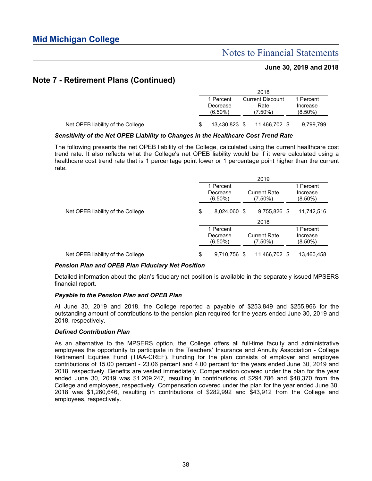#### **June 30, 2019 and 2018**

### **Note 7 - Retirement Plans (Continued)**

|                                   | 2018                                                                                 |  |               |                                     |           |
|-----------------------------------|--------------------------------------------------------------------------------------|--|---------------|-------------------------------------|-----------|
|                                   | <b>Current Discount</b><br>1 Percent<br>Rate<br>Decrease<br>$(6.50\%)$<br>$(7.50\%)$ |  |               | 1 Percent<br>Increase<br>$(8.50\%)$ |           |
| Net OPEB liability of the College | 13.430.823 \$                                                                        |  | 11.466.702 \$ |                                     | 9,799,799 |

#### *Sensitivity of the Net OPEB Liability to Changes in the Healthcare Cost Trend Rate*

The following presents the net OPEB liability of the College, calculated using the current healthcare cost trend rate. It also reflects what the College's net OPEB liability would be if it were calculated using a healthcare cost trend rate that is 1 percentage point lower or 1 percentage point higher than the current rate:

|                                   |                                     | 2019                              |                                     |
|-----------------------------------|-------------------------------------|-----------------------------------|-------------------------------------|
|                                   | 1 Percent<br>Decrease<br>$(6.50\%)$ | <b>Current Rate</b><br>$(7.50\%)$ | 1 Percent<br>Increase<br>$(8.50\%)$ |
| Net OPEB liability of the College | \$<br>8,024,060 \$                  | 9,755,826 \$<br>2018              | 11,742,516                          |
|                                   | 1 Percent<br>Decrease<br>$(6.50\%)$ | <b>Current Rate</b><br>$(7.50\%)$ | 1 Percent<br>Increase<br>$(8.50\%)$ |
| Net OPEB liability of the College | \$<br>9,710,756 \$                  | 11,466,702                        | 13,460,458                          |

#### *Pension Plan and OPEB Plan Fiduciary Net Position*

Detailed information about the plan's fiduciary net position is available in the separately issued MPSERS financial report.

#### *Payable to the Pension Plan and OPEB Plan*

At June 30, 2019 and 2018, the College reported a payable of \$253,849 and \$255,966 for the outstanding amount of contributions to the pension plan required for the years ended June 30, 2019 and 2018, respectively.

#### *Defined Contribution Plan*

As an alternative to the MPSERS option, the College offers all full-time faculty and administrative employees the opportunity to participate in the Teachers' Insurance and Annuity Association - College Retirement Equities Fund (TIAA-CREF). Funding for the plan consists of employer and employee contributions of 15.00 percent - 23.06 percent and 4.00 percent for the years ended June 30, 2019 and 2018, respectively. Benefits are vested immediately. Compensation covered under the plan for the year ended June 30, 2019 was \$1,209,247, resulting in contributions of \$294,786 and \$48,370 from the College and employees, respectively. Compensation covered under the plan for the year ended June 30, 2018 was \$1,260,646, resulting in contributions of \$282,992 and \$43,912 from the College and employees, respectively.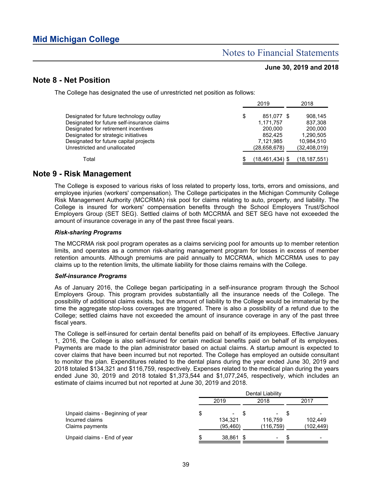## Notes to Financial Statements

#### **June 30, 2019 and 2018**

### **Note 8 - Net Position**

The College has designated the use of unrestricted net position as follows:

|                                             | 2019                | 2018           |
|---------------------------------------------|---------------------|----------------|
| Designated for future technology outlay     | \$<br>851,077 \$    | 908,145        |
| Designated for future self-insurance claims | 1.171.757           | 837.308        |
| Designated for retirement incentives        | 200,000             | 200,000        |
| Designated for strategic initiatives        | 852.425             | 1.290.505      |
| Designated for future capital projects      | 7.121.985           | 10,984,510     |
| Unrestricted and unallocated                | (28,658,678)        | (32,408,019)   |
| Total                                       | $(18, 461, 434)$ \$ | (18, 187, 551) |

### **Note 9 - Risk Management**

The College is exposed to various risks of loss related to property loss, torts, errors and omissions, and employee injuries (workers' compensation). The College participates in the Michigan Community College Risk Management Authority (MCCRMA) risk pool for claims relating to auto, property, and liability. The College is insured for workers' compensation benefits through the School Employers Trust/School Employers Group (SET SEG). Settled claims of both MCCRMA and SET SEG have not exceeded the amount of insurance coverage in any of the past three fiscal years.

#### *Risk-sharing Programs*

The MCCRMA risk pool program operates as a claims servicing pool for amounts up to member retention limits, and operates as a common risk-sharing management program for losses in excess of member retention amounts. Although premiums are paid annually to MCCRMA, which MCCRMA uses to pay claims up to the retention limits, the ultimate liability for those claims remains with the College.

#### *Self-insurance Programs*

As of January 2016, the College began participating in a self-insurance program through the School Employers Group. This program provides substantially all the insurance needs of the College. The possibility of additional claims exists, but the amount of liability to the College would be immaterial by the time the aggregate stop-loss coverages are triggered. There is also a possibility of a refund due to the College; settled claims have not exceeded the amount of insurance coverage in any of the past three fiscal years.

The College is self-insured for certain dental benefits paid on behalf of its employees. Effective January 1, 2016, the College is also self-insured for certain medical benefits paid on behalf of its employees. Payments are made to the plan administrator based on actual claims. A startup amount is expected to cover claims that have been incurred but not reported. The College has employed an outside consultant to monitor the plan. Expenditures related to the dental plans during the year ended June 30, 2019 and 2018 totaled \$134,321 and \$116,759, respectively. Expenses related to the medical plan during the years ended June 30, 2019 and 2018 totaled \$1,373,544 and \$1,077,245, respectively, which includes an estimate of claims incurred but not reported at June 30, 2019 and 2018.

|                                                                         | Dental Liability |                                         |  |                       |   |                       |  |
|-------------------------------------------------------------------------|------------------|-----------------------------------------|--|-----------------------|---|-----------------------|--|
|                                                                         |                  | 2019                                    |  | 2018                  |   | 2017                  |  |
| Unpaid claims - Beginning of year<br>Incurred claims<br>Claims payments | \$               | $\qquad \qquad$<br>134,321<br>(95, 460) |  | 116,759<br>(116, 759) | Œ | 102.449<br>(102, 449) |  |
| Unpaid claims - End of year                                             | S                | 38,861 \$                               |  |                       |   | -                     |  |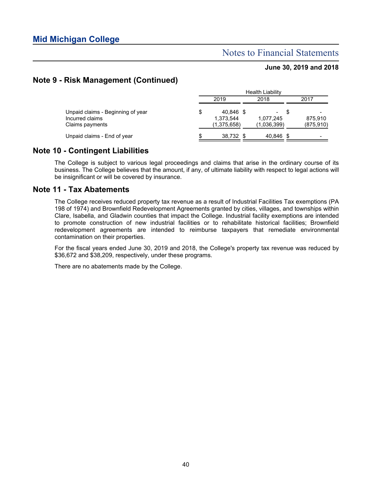#### **June 30, 2019 and 2018**

### **Note 9 - Risk Management (Continued)**

|                                                                         | <b>Health Liability</b> |                                       |  |                          |  |                       |
|-------------------------------------------------------------------------|-------------------------|---------------------------------------|--|--------------------------|--|-----------------------|
|                                                                         |                         | 2019                                  |  | 2018                     |  | 2017                  |
| Unpaid claims - Beginning of year<br>Incurred claims<br>Claims payments | \$                      | 40.846 \$<br>1,373,544<br>(1,375,658) |  | 1,077,245<br>(1,036,399) |  | 875,910<br>(875, 910) |
| Unpaid claims - End of year                                             | \$                      | 38,732 \$                             |  | 40,846 \$                |  |                       |

### **Note 10 - Contingent Liabilities**

The College is subject to various legal proceedings and claims that arise in the ordinary course of its business. The College believes that the amount, if any, of ultimate liability with respect to legal actions will be insignificant or will be covered by insurance.

#### **Note 11 - Tax Abatements**

The College receives reduced property tax revenue as a result of Industrial Facilities Tax exemptions (PA 198 of 1974) and Brownfield Redevelopment Agreements granted by cities, villages, and townships within Clare, Isabella, and Gladwin counties that impact the College. Industrial facility exemptions are intended to promote construction of new industrial facilities or to rehabilitate historical facilities; Brownfield redevelopment agreements are intended to reimburse taxpayers that remediate environmental contamination on their properties.

For the fiscal years ended June 30, 2019 and 2018, the College's property tax revenue was reduced by \$36,672 and \$38,209, respectively, under these programs.

There are no abatements made by the College.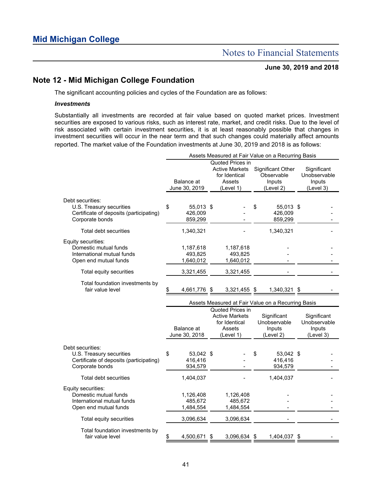#### **June 30, 2019 and 2018**

### **Note 12 - Mid Michigan College Foundation**

The significant accounting policies and cycles of the Foundation are as follows:

#### *Investments*

Substantially all investments are recorded at fair value based on quoted market prices. Investment securities are exposed to various risks, such as interest rate, market, and credit risks. Due to the level of risk associated with certain investment securities, it is at least reasonably possible that changes in investment securities will occur in the near term and that such changes could materially affect amounts reported. The market value of the Foundation investments at June 30, 2019 and 2018 is as follows:

|                                                                                                            |                                   |                                                                                          | Assets Measured at Fair Value on a Recurring Basis     |                                                    |
|------------------------------------------------------------------------------------------------------------|-----------------------------------|------------------------------------------------------------------------------------------|--------------------------------------------------------|----------------------------------------------------|
|                                                                                                            | Balance at<br>June 30, 2019       | Quoted Prices in<br><b>Active Markets</b><br>for Identical<br>Assets<br>(Level 1)        | Significant Other<br>Observable<br>Inputs<br>(Level 2) | Significant<br>Unobservable<br>Inputs<br>(Level 3) |
| Debt securities:<br>U.S. Treasury securities                                                               | \$<br>55,013 \$                   |                                                                                          | \$<br>55,013 \$                                        |                                                    |
| Certificate of deposits (participating)<br>Corporate bonds                                                 | 426,009<br>859,299                |                                                                                          | 426,009<br>859,299                                     |                                                    |
| Total debt securities                                                                                      | 1,340,321                         |                                                                                          | 1,340,321                                              |                                                    |
| Equity securities:<br>Domestic mutual funds<br>International mutual funds<br>Open end mutual funds         | 1,187,618<br>493,825<br>1,640,012 | 1,187,618<br>493,825<br>1,640,012                                                        |                                                        |                                                    |
| Total equity securities                                                                                    | 3,321,455                         | 3,321,455                                                                                |                                                        |                                                    |
| Total foundation investments by<br>fair value level                                                        | 4,661,776 \$                      | 3,321,455 \$                                                                             | 1,340,321 \$                                           |                                                    |
|                                                                                                            |                                   |                                                                                          | Assets Measured at Fair Value on a Recurring Basis     |                                                    |
|                                                                                                            | Balance at<br>June 30, 2018       | <b>Quoted Prices in</b><br><b>Active Markets</b><br>for Identical<br>Assets<br>(Level 1) | Significant<br>Unobservable<br>Inputs<br>(Level 2)     | Significant<br>Unobservable<br>Inputs<br>(Level 3) |
| Debt securities:<br>U.S. Treasury securities<br>Certificate of deposits (participating)<br>Corporate bonds | \$<br>53,042 \$<br>416,416        |                                                                                          | \$<br>53,042 \$<br>416,416                             |                                                    |
|                                                                                                            | 934,579                           |                                                                                          | 934,579                                                |                                                    |
| Total debt securities                                                                                      | 1,404,037                         |                                                                                          | 1,404,037                                              |                                                    |
| Equity securities:<br>Domestic mutual funds<br>International mutual funds<br>Open end mutual funds         | 1,126,408<br>485,672<br>1,484,554 | 1,126,408<br>485,672<br>1,484,554                                                        |                                                        |                                                    |
| Total equity securities                                                                                    | 3,096,634                         | 3,096,634                                                                                |                                                        |                                                    |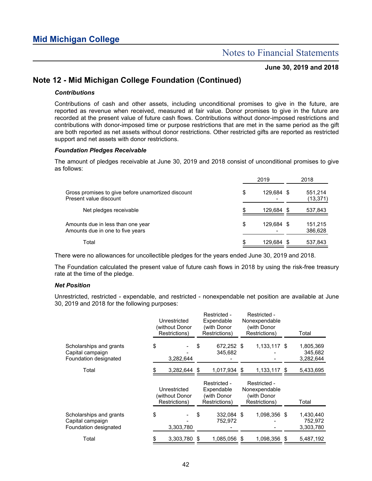#### **June 30, 2019 and 2018**

#### **Note 12 - Mid Michigan College Foundation (Continued)**

#### *Contributions*

Contributions of cash and other assets, including unconditional promises to give in the future, are reported as revenue when received, measured at fair value. Donor promises to give in the future are recorded at the present value of future cash flows. Contributions without donor-imposed restrictions and contributions with donor-imposed time or purpose restrictions that are met in the same period as the gift are both reported as net assets without donor restrictions. Other restricted gifts are reported as restricted support and net assets with donor restrictions.

#### *Foundation Pledges Receivable*

The amount of pledges receivable at June 30, 2019 and 2018 consist of unconditional promises to give as follows:

|                                                                              | 2019             | 2018                 |
|------------------------------------------------------------------------------|------------------|----------------------|
| Gross promises to give before unamortized discount<br>Present value discount | \$<br>129.684 \$ | 551,214<br>(13, 371) |
| Net pledges receivable                                                       | \$<br>129,684 \$ | 537,843              |
| Amounts due in less than one year<br>Amounts due in one to five years        | \$<br>129.684 \$ | 151,215<br>386,628   |
| Total                                                                        | \$<br>129,684 \$ | 537,843              |

There were no allowances for uncollectible pledges for the years ended June 30, 2019 and 2018.

The Foundation calculated the present value of future cash flows in 2018 by using the risk-free treasury rate at the time of the pledge.

#### *Net Position*

Unrestricted, restricted - expendable, and restricted - nonexpendable net position are available at June 30, 2019 and 2018 for the following purposes:

|                                                                      |                                                 | Unrestricted<br>(without Donor<br>Restrictions) |              | Restricted -<br>Expendable<br>(with Donor<br>Restrictions) | Restricted -<br>Nonexpendable<br>(with Donor<br><b>Restrictions</b> ) | Total                             |
|----------------------------------------------------------------------|-------------------------------------------------|-------------------------------------------------|--------------|------------------------------------------------------------|-----------------------------------------------------------------------|-----------------------------------|
| Scholarships and grants<br>Capital campaign<br>Foundation designated | \$                                              | 3,282,644                                       | \$           | 672,252 \$<br>345,682                                      | 1,133,117 \$                                                          | 1,805,369<br>345,682<br>3,282,644 |
| Total                                                                |                                                 | 3,282,644 \$                                    |              | 1,017,934 \$                                               | 1,133,117 \$                                                          | 5,433,695                         |
|                                                                      | Unrestricted<br>(without Donor<br>Restrictions) |                                                 |              | Restricted -<br>Expendable<br>(with Donor<br>Restrictions) | Restricted -<br>Nonexpendable<br>(with Donor<br>Restrictions)         | Total                             |
| Scholarships and grants<br>Capital campaign<br>Foundation designated | \$                                              | 3,303,780                                       | \$           | 332,084 \$<br>752,972                                      | 1,098,356 \$                                                          | 1,430,440<br>752,972<br>3,303,780 |
| Total                                                                |                                                 |                                                 | 3,303,780 \$ |                                                            | 1,098,356                                                             | 5,487,192                         |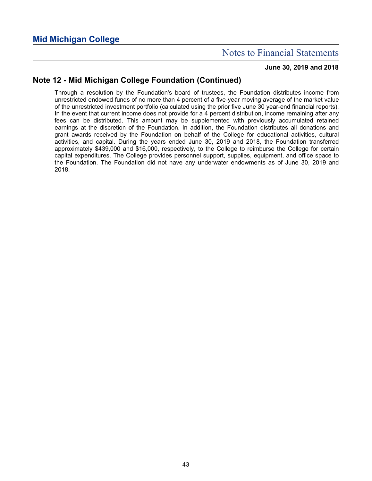#### **June 30, 2019 and 2018**

### **Note 12 - Mid Michigan College Foundation (Continued)**

Through a resolution by the Foundation's board of trustees, the Foundation distributes income from unrestricted endowed funds of no more than 4 percent of a five-year moving average of the market value of the unrestricted investment portfolio (calculated using the prior five June 30 year-end financial reports). In the event that current income does not provide for  $a$  4 percent distribution, income remaining after any fees can be distributed. This amount may be supplemented with previously accumulated retained earnings at the discretion of the Foundation. In addition, the Foundation distributes all donations and grant awards received by the Foundation on behalf of the College for educational activities, cultural activities, and capital. During the years ended June 30, 2019 and 2018, the Foundation transferred approximately \$439,000 and \$16,000, respectively, to the College to reimburse the College for certain capital expenditures. The College provides personnel support, supplies, equipment, and office space to the Foundation. The Foundation did not have any underwater endowments as of June 30, 2019 and 2018.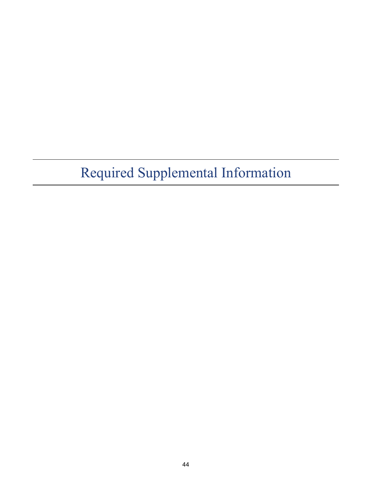# Required Supplemental Information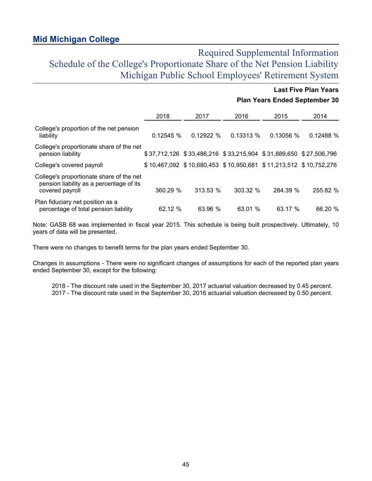## Required Supplemental Information Schedule of the College's Proportionate Share of the Net Pension Liability Michigan Public School Employees' Retirement System

|                                                                                                         |          |                                                                  |          | <b>Plan Years Ended September 30</b> | <b>Last Five Plan Years</b> |
|---------------------------------------------------------------------------------------------------------|----------|------------------------------------------------------------------|----------|--------------------------------------|-----------------------------|
|                                                                                                         | 2018     | 2017                                                             | 2016     | 2015                                 | 2014                        |
| College's proportion of the net pension<br>liability                                                    | 0.12545% | 0.12922%                                                         | 0.13313% | 0.13056%                             | 0.12488%                    |
| College's proportionate share of the net<br>pension liability                                           |          | \$37,712,126 \$33,486,216 \$33,215,904 \$31,889,650 \$27,506,796 |          |                                      |                             |
| College's covered payroll                                                                               |          | \$10,467,092 \$10,680,453 \$10,950,681 \$11,213,512 \$10,752,276 |          |                                      |                             |
| College's proportionate share of the net<br>pension liability as a percentage of its<br>covered payroll | 360.29 % | 313.53 %                                                         | 303.32 % | 284.39 %                             | 255.82 %                    |
| Plan fiduciary net position as a<br>percentage of total pension liability                               | 62.12 %  | 63.96 %                                                          | 63.01 %  | 63.17 %                              | 66.20 %                     |

Note: GASB 68 was implemented in fiscal year 2015. This schedule is being built prospectively. Ultimately, 10 years of data will be presented.

There were no changes to benefit terms for the plan years ended September 30.

Changes in assumptions - There were no significant changes of assumptions for each of the reported plan years ended September 30, except for the following:

 2018 - The discount rate used in the September 30, 2017 actuarial valuation decreased by 0.45 percent. 2017 - The discount rate used in the September 30, 2016 actuarial valuation decreased by 0.50 percent.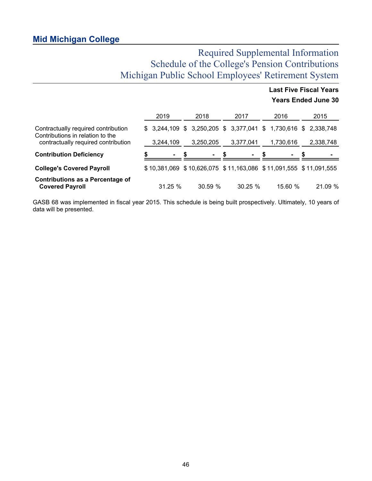## Required Supplemental Information Schedule of the College's Pension Contributions Michigan Public School Employees' Retirement System

|                                                                                                                                                                                                                           |         |                                                                  |        | <b>Last Five Fiscal Years</b><br><b>Years Ended June 30</b> |           |  |           |
|---------------------------------------------------------------------------------------------------------------------------------------------------------------------------------------------------------------------------|---------|------------------------------------------------------------------|--------|-------------------------------------------------------------|-----------|--|-----------|
|                                                                                                                                                                                                                           | 2019    | 2018                                                             | 2017   |                                                             | 2016      |  | 2015      |
| Contractually required contribution<br>$$3,244,109$ $$3,250,205$ $$3,377,041$ $$1,730,616$ $$2,338,748$<br>Contributions in relation to the<br>3,250,205<br>3,377,041<br>contractually required contribution<br>3,244,109 |         |                                                                  |        |                                                             |           |  |           |
|                                                                                                                                                                                                                           |         |                                                                  |        |                                                             | 1,730,616 |  | 2,338,748 |
| <b>Contribution Deficiency</b>                                                                                                                                                                                            | ۰.      |                                                                  |        |                                                             | . .       |  |           |
| <b>College's Covered Payroll</b>                                                                                                                                                                                          |         | \$10,381,069 \$10,626,075 \$11,163,086 \$11,091,555 \$11,091,555 |        |                                                             |           |  |           |
| <b>Contributions as a Percentage of</b><br><b>Covered Payroll</b>                                                                                                                                                         | 31.25 % | 30.59 %                                                          | 30.25% |                                                             | 15.60 %   |  | 21.09 %   |

GASB 68 was implemented in fiscal year 2015. This schedule is being built prospectively. Ultimately, 10 years of data will be presented.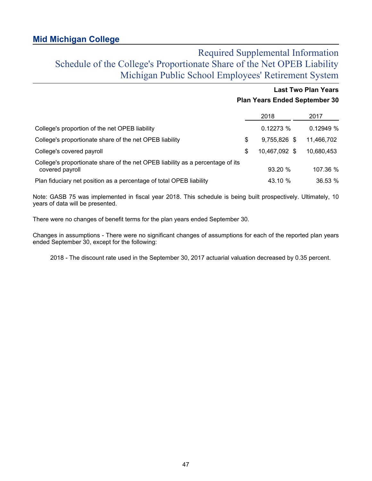## Required Supplemental Information Schedule of the College's Proportionate Share of the Net OPEB Liability Michigan Public School Employees' Retirement System

### **Last Two Plan Years Plan Years Ended September 30**

|                                                                                                   |     | 2018          | 2017       |
|---------------------------------------------------------------------------------------------------|-----|---------------|------------|
| College's proportion of the net OPEB liability                                                    |     | 0.12273%      | 0.12949%   |
| College's proportionate share of the net OPEB liability                                           | S   | 9,755,826 \$  | 11.466.702 |
| College's covered payroll                                                                         | \$. | 10,467,092 \$ | 10,680,453 |
| College's proportionate share of the net OPEB liability as a percentage of its<br>covered payroll |     | 93.20%        | 107.36 %   |
| Plan fiduciary net position as a percentage of total OPEB liability                               |     | 43.10 %       | 36.53 %    |

Note: GASB 75 was implemented in fiscal year 2018. This schedule is being built prospectively. Ultimately, 10 years of data will be presented.

There were no changes of benefit terms for the plan years ended September 30.

Changes in assumptions - There were no significant changes of assumptions for each of the reported plan years ended September 30, except for the following:

2018 - The discount rate used in the September 30, 2017 actuarial valuation decreased by 0.35 percent.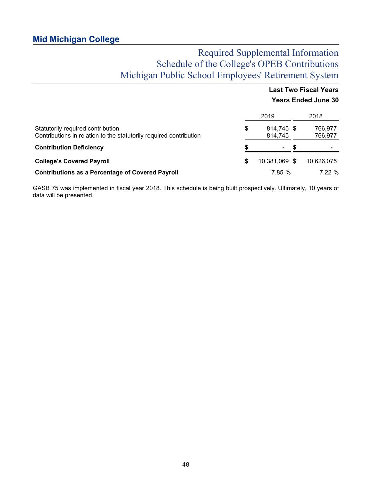## Required Supplemental Information Schedule of the College's OPEB Contributions Michigan Public School Employees' Retirement System

|                                                                                                         |    |                       |    | <b>Last Two Fiscal Years</b><br><b>Years Ended June 30</b> |
|---------------------------------------------------------------------------------------------------------|----|-----------------------|----|------------------------------------------------------------|
|                                                                                                         |    | 2019                  |    | 2018                                                       |
| Statutorily required contribution<br>Contributions in relation to the statutorily required contribution |    | 814,745 \$<br>814.745 |    | 766,977<br>766,977                                         |
| <b>Contribution Deficiency</b>                                                                          |    | ۰.                    | -S |                                                            |
| <b>College's Covered Payroll</b>                                                                        | \$ | 10.381.069 \$         |    | 10,626,075                                                 |
| <b>Contributions as a Percentage of Covered Payroll</b>                                                 |    | 7.85 %                |    | 7.22%                                                      |

GASB 75 was implemented in fiscal year 2018. This schedule is being built prospectively. Ultimately, 10 years of data will be presented.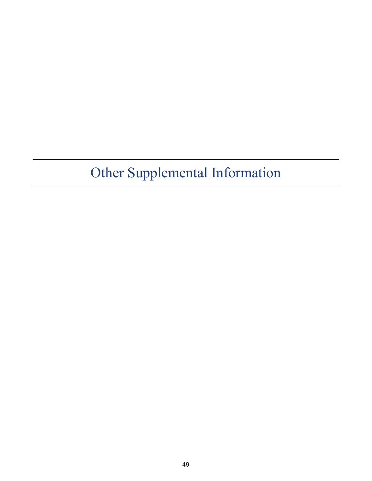# Other Supplemental Information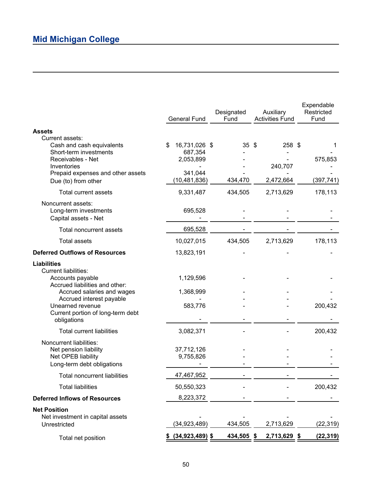|                                                                                                         | <b>General Fund</b>             | Designated<br>Fund | Auxiliary<br><b>Activities Fund</b> | Expendable<br>Restricted<br>Fund |
|---------------------------------------------------------------------------------------------------------|---------------------------------|--------------------|-------------------------------------|----------------------------------|
| <b>Assets</b><br>Current assets:<br>Cash and cash equivalents                                           | 16,731,026 \$<br>S              | 35S                | 258 \$                              | 1                                |
| Short-term investments<br>Receivables - Net<br>Inventories<br>Prepaid expenses and other assets         | 687,354<br>2,053,899<br>341,044 |                    | 240,707                             | 575,853                          |
| Due (to) from other                                                                                     | (10,481,836)                    | 434,470            | 2,472,664                           | (397,741)                        |
| Total current assets                                                                                    | 9,331,487                       | 434,505            | 2,713,629                           | 178,113                          |
| Noncurrent assets:<br>Long-term investments<br>Capital assets - Net                                     | 695,528                         |                    |                                     |                                  |
| <b>Total noncurrent assets</b>                                                                          | 695,528                         |                    |                                     |                                  |
| <b>Total assets</b>                                                                                     | 10,027,015                      | 434,505            | 2,713,629                           | 178,113                          |
| <b>Deferred Outflows of Resources</b>                                                                   | 13,823,191                      |                    |                                     |                                  |
| <b>Liabilities</b><br><b>Current liabilities:</b><br>Accounts payable<br>Accrued liabilities and other: | 1,129,596                       |                    |                                     |                                  |
| Accrued salaries and wages<br>Accrued interest payable                                                  | 1,368,999                       |                    |                                     |                                  |
| Unearned revenue<br>Current portion of long-term debt<br>obligations                                    | 583,776                         |                    |                                     | 200,432                          |
| <b>Total current liabilities</b>                                                                        | 3,082,371                       |                    |                                     | 200,432                          |
| Noncurrent liabilities:<br>Net pension liability<br>Net OPEB liability<br>Long-term debt obligations    | 37,712,126<br>9,755,826         |                    |                                     |                                  |
| <b>Total noncurrent liabilities</b>                                                                     | 47,467,952                      |                    |                                     |                                  |
| <b>Total liabilities</b>                                                                                | 50,550,323                      |                    |                                     | 200,432                          |
| <b>Deferred Inflows of Resources</b>                                                                    | 8,223,372                       |                    |                                     |                                  |
| <b>Net Position</b><br>Net investment in capital assets<br>Unrestricted                                 | (34, 923, 489)                  | 434,505            | 2,713,629                           | (22, 319)                        |
| Total net position                                                                                      | $(34,923,489)$ \$               | 434,505 \$         | 2,713,629 \$                        | (22, 319)                        |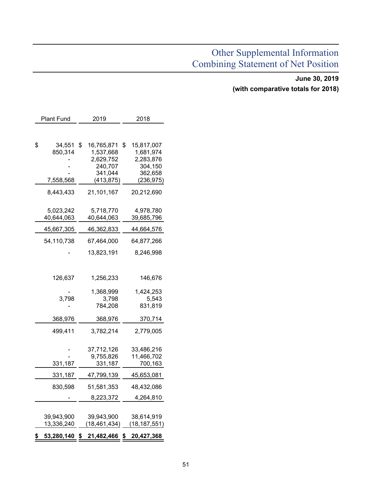## Other Supplemental Information Combining Statement of Net Position

## **June 30, 2019**

**(with comparative totals for 2018)**

| Plant Fund               | 2019                                                             | 2018                                                             |
|--------------------------|------------------------------------------------------------------|------------------------------------------------------------------|
|                          |                                                                  |                                                                  |
| \$<br>34,551<br>850,314  | \$<br>16,765,871<br>1,537,668<br>2,629,752<br>240,707<br>341,044 | \$<br>15,817,007<br>1,681,974<br>2,283,876<br>304,150<br>362,658 |
| 7,558,568                | (413,875)                                                        | (236, 975)                                                       |
| 8,443,433                | 21,101,167                                                       | 20,212,690                                                       |
| 5,023,242<br>40,644,063  | 5,718,770<br>40,644,063                                          | 4,978,780<br>39,685,796                                          |
| <u>45,667,305</u>        | <u>46,362,833</u>                                                | 44,664,576                                                       |
| 54,110,738               | 67,464,000                                                       | 64,877,266                                                       |
|                          | 13,823,191                                                       | 8,246,998                                                        |
|                          |                                                                  |                                                                  |
| 126,637                  | 1,256,233                                                        | 146,676                                                          |
| 3,798                    | 1,368,999<br>3,798<br>784,208                                    | 1,424,253<br>5,543<br>831,819                                    |
| 368,976                  | 368,976                                                          | 370,714                                                          |
| 499,411                  | 3,782,214                                                        | 2,779,005                                                        |
| 331,187                  | 37,712,126<br>9,755,826<br>331,187                               | 33,486,216<br>11,466,702<br>700,163                              |
| 331,187                  | 47,799,139                                                       | 45,653,081                                                       |
| 830,598                  | 51,581,353                                                       | 48,432,086                                                       |
|                          | 8,223,372                                                        | 4,264,810                                                        |
| 39,943,900<br>13,336,240 | 39,943,900<br>(18,461,434)                                       | 38,614,919<br>(18,187,551)                                       |
| \$<br>53,280,140         | \$<br>21,482,466                                                 | \$<br>20,427,368                                                 |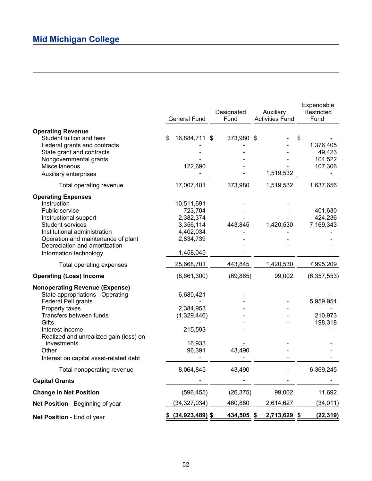|                                                                                     | <b>General Fund</b>      | Designated<br>Fund | Auxiliary<br><b>Activities Fund</b> | Expendable<br>Restricted<br>Fund |
|-------------------------------------------------------------------------------------|--------------------------|--------------------|-------------------------------------|----------------------------------|
| <b>Operating Revenue</b><br>Student tuition and fees                                | 16,884,711 \$<br>\$      | 373,980 \$         |                                     | \$                               |
| Federal grants and contracts<br>State grant and contracts<br>Nongovernmental grants |                          |                    |                                     | 1,376,405<br>49,423<br>104,522   |
| Miscellaneous<br>Auxiliary enterprises                                              | 122,690                  |                    | 1,519,532                           | 107,306                          |
| Total operating revenue                                                             | 17,007,401               | 373,980            | 1,519,532                           | 1,637,656                        |
| <b>Operating Expenses</b><br>Instruction                                            | 10,511,691               |                    |                                     |                                  |
| Public service                                                                      | 723,704                  |                    |                                     | 401,630                          |
| Instructional support                                                               | 2,382,374                |                    |                                     | 424,236                          |
| <b>Student services</b>                                                             | 3,356,114                | 443,845            | 1,420,530                           | 7,169,343                        |
| Institutional administration                                                        | 4,402,034                |                    |                                     |                                  |
| Operation and maintenance of plant                                                  | 2,834,739                |                    |                                     |                                  |
| Depreciation and amortization                                                       |                          |                    |                                     |                                  |
| Information technology                                                              | 1,458,045                |                    |                                     |                                  |
| Total operating expenses                                                            | 25,668,701               | 443,845            | 1,420,530                           | 7,995,209                        |
| <b>Operating (Loss) Income</b>                                                      | (8,661,300)              | (69, 865)          | 99,002                              | (6,357,553)                      |
| <b>Nonoperating Revenue (Expense)</b>                                               |                          |                    |                                     |                                  |
| State appropriations - Operating                                                    | 6,680,421                |                    |                                     |                                  |
| Federal Pell grants                                                                 |                          |                    |                                     | 5,959,954                        |
| Property taxes<br>Transfers between funds                                           | 2,384,953<br>(1,329,446) |                    |                                     | 210,973                          |
| Gifts                                                                               |                          |                    |                                     | 198,318                          |
| Interest income                                                                     | 215,593                  |                    |                                     |                                  |
| Realized and unrealized gain (loss) on                                              |                          |                    |                                     |                                  |
| investments                                                                         | 16,933                   |                    |                                     |                                  |
| Other                                                                               | 96,391                   | 43,490             |                                     |                                  |
| Interest on capital asset-related debt                                              |                          |                    |                                     |                                  |
| Total nonoperating revenue                                                          | 8,064,845                | 43,490             |                                     | 6,369,245                        |
| <b>Capital Grants</b>                                                               |                          |                    |                                     |                                  |
| <b>Change in Net Position</b>                                                       | (596, 455)               | (26, 375)          | 99,002                              | 11,692                           |
| Net Position - Beginning of year                                                    | (34,327,034)             | 460,880            | 2,614,627                           | (34, 011)                        |
| Net Position - End of year                                                          | $$$ (34,923,489) \$      | 434,505 \$         | 2,713,629 \$                        | (22, 319)                        |